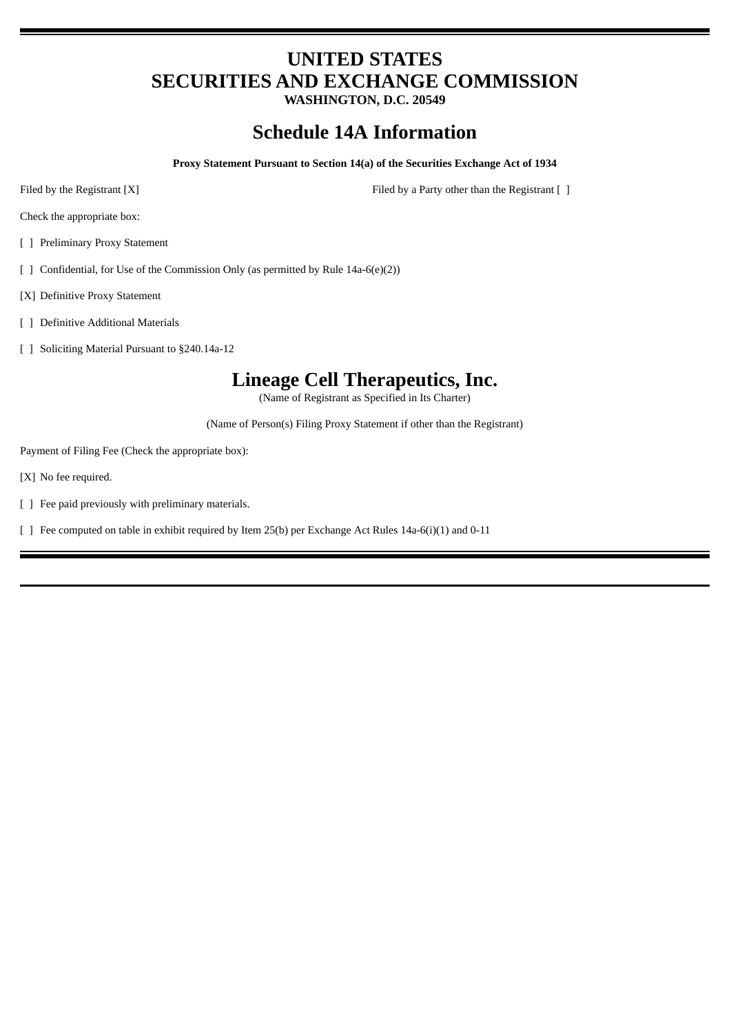# **UNITED STATES SECURITIES AND EXCHANGE COMMISSION**

**WASHINGTON, D.C. 20549**

## **Schedule 14A Information**

**Proxy Statement Pursuant to Section 14(a) of the Securities Exchange Act of 1934**

Filed by the Registrant [X] Filed by a Party other than the Registrant [ ]

Check the appropriate box:

- [ ] Preliminary Proxy Statement
- [ ] Confidential, for Use of the Commission Only (as permitted by Rule 14a-6(e)(2))
- [X] Definitive Proxy Statement
- [ ] Definitive Additional Materials
- [ ] Soliciting Material Pursuant to §240.14a-12

## **Lineage Cell Therapeutics, Inc.**

(Name of Registrant as Specified in Its Charter)

(Name of Person(s) Filing Proxy Statement if other than the Registrant)

Payment of Filing Fee (Check the appropriate box):

- [X] No fee required.
- [ ] Fee paid previously with preliminary materials.
- [ ] Fee computed on table in exhibit required by Item 25(b) per Exchange Act Rules 14a-6(i)(1) and 0-11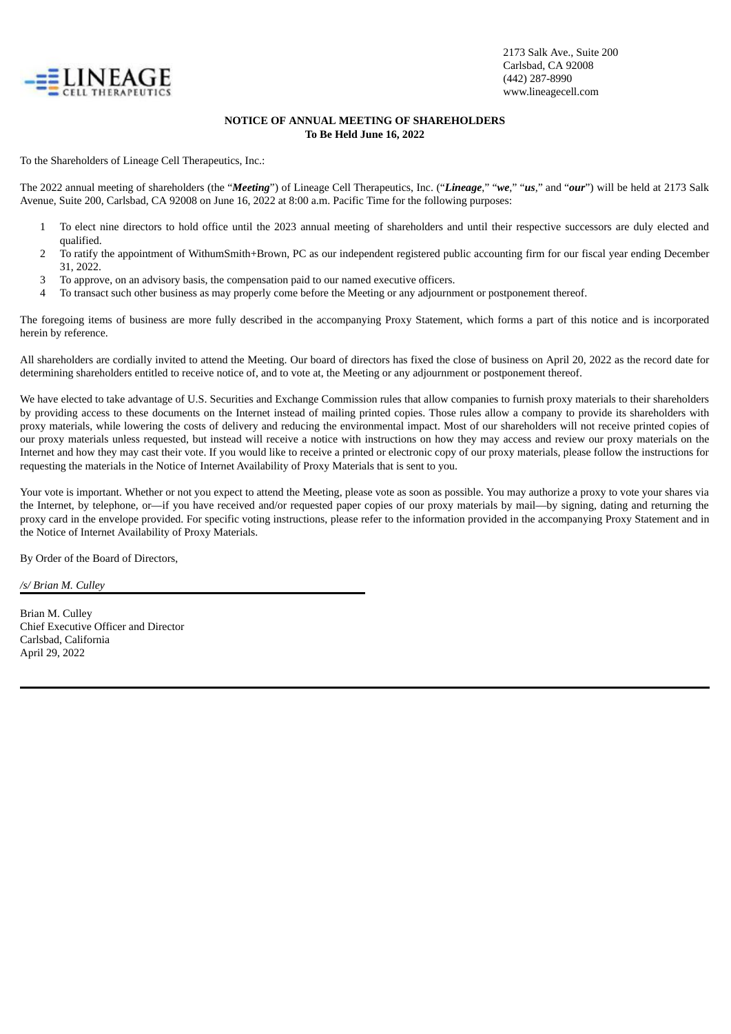

## **NOTICE OF ANNUAL MEETING OF SHAREHOLDERS To Be Held June 16, 2022**

To the Shareholders of Lineage Cell Therapeutics, Inc.:

The 2022 annual meeting of shareholders (the "*Meeting*") of Lineage Cell Therapeutics, Inc. ("*Lineage*," "*we*," "*us*," and "*our*") will be held at 2173 Salk Avenue, Suite 200, Carlsbad, CA 92008 on June 16, 2022 at 8:00 a.m. Pacific Time for the following purposes:

- 1 To elect nine directors to hold office until the 2023 annual meeting of shareholders and until their respective successors are duly elected and qualified.
- 2 To ratify the appointment of WithumSmith+Brown, PC as our independent registered public accounting firm for our fiscal year ending December 31, 2022.
- 3 To approve, on an advisory basis, the compensation paid to our named executive officers.
- 4 To transact such other business as may properly come before the Meeting or any adjournment or postponement thereof.

The foregoing items of business are more fully described in the accompanying Proxy Statement, which forms a part of this notice and is incorporated herein by reference.

All shareholders are cordially invited to attend the Meeting. Our board of directors has fixed the close of business on April 20, 2022 as the record date for determining shareholders entitled to receive notice of, and to vote at, the Meeting or any adjournment or postponement thereof.

We have elected to take advantage of U.S. Securities and Exchange Commission rules that allow companies to furnish proxy materials to their shareholders by providing access to these documents on the Internet instead of mailing printed copies. Those rules allow a company to provide its shareholders with proxy materials, while lowering the costs of delivery and reducing the environmental impact. Most of our shareholders will not receive printed copies of our proxy materials unless requested, but instead will receive a notice with instructions on how they may access and review our proxy materials on the Internet and how they may cast their vote. If you would like to receive a printed or electronic copy of our proxy materials, please follow the instructions for requesting the materials in the Notice of Internet Availability of Proxy Materials that is sent to you.

Your vote is important. Whether or not you expect to attend the Meeting, please vote as soon as possible. You may authorize a proxy to vote your shares via the Internet, by telephone, or—if you have received and/or requested paper copies of our proxy materials by mail—by signing, dating and returning the proxy card in the envelope provided. For specific voting instructions, please refer to the information provided in the accompanying Proxy Statement and in the Notice of Internet Availability of Proxy Materials.

By Order of the Board of Directors,

*/s/ Brian M. Culley*

Brian M. Culley Chief Executive Officer and Director Carlsbad, California April 29, 2022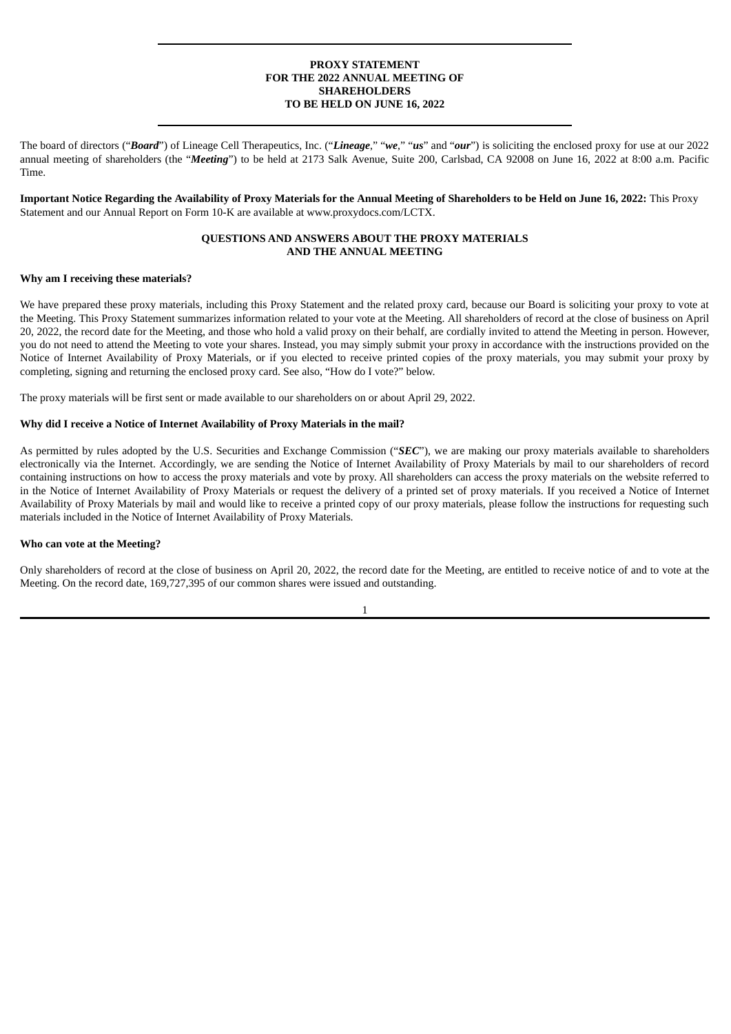## **PROXY STATEMENT FOR THE 2022 ANNUAL MEETING OF SHAREHOLDERS TO BE HELD ON JUNE 16, 2022**

The board of directors ("*Board*") of Lineage Cell Therapeutics, Inc. ("*Lineage*," "*we*," "*us*" and "*our*") is soliciting the enclosed proxy for use at our 2022 annual meeting of shareholders (the "*Meeting*") to be held at 2173 Salk Avenue, Suite 200, Carlsbad, CA 92008 on June 16, 2022 at 8:00 a.m. Pacific Time.

Important Notice Regarding the Availability of Proxy Materials for the Annual Meeting of Shareholders to be Held on June 16, 2022: This Proxy Statement and our Annual Report on Form 10-K are available at www.proxydocs.com/LCTX.

## **QUESTIONS AND ANSWERS ABOUT THE PROXY MATERIALS AND THE ANNUAL MEETING**

#### **Why am I receiving these materials?**

We have prepared these proxy materials, including this Proxy Statement and the related proxy card, because our Board is soliciting your proxy to vote at the Meeting. This Proxy Statement summarizes information related to your vote at the Meeting. All shareholders of record at the close of business on April 20, 2022, the record date for the Meeting, and those who hold a valid proxy on their behalf, are cordially invited to attend the Meeting in person. However, you do not need to attend the Meeting to vote your shares. Instead, you may simply submit your proxy in accordance with the instructions provided on the Notice of Internet Availability of Proxy Materials, or if you elected to receive printed copies of the proxy materials, you may submit your proxy by completing, signing and returning the enclosed proxy card. See also, "How do I vote?" below.

The proxy materials will be first sent or made available to our shareholders on or about April 29, 2022.

#### **Why did I receive a Notice of Internet Availability of Proxy Materials in the mail?**

As permitted by rules adopted by the U.S. Securities and Exchange Commission ("*SEC*"), we are making our proxy materials available to shareholders electronically via the Internet. Accordingly, we are sending the Notice of Internet Availability of Proxy Materials by mail to our shareholders of record containing instructions on how to access the proxy materials and vote by proxy. All shareholders can access the proxy materials on the website referred to in the Notice of Internet Availability of Proxy Materials or request the delivery of a printed set of proxy materials. If you received a Notice of Internet Availability of Proxy Materials by mail and would like to receive a printed copy of our proxy materials, please follow the instructions for requesting such materials included in the Notice of Internet Availability of Proxy Materials.

#### **Who can vote at the Meeting?**

Only shareholders of record at the close of business on April 20, 2022, the record date for the Meeting, are entitled to receive notice of and to vote at the Meeting. On the record date, 169,727,395 of our common shares were issued and outstanding.

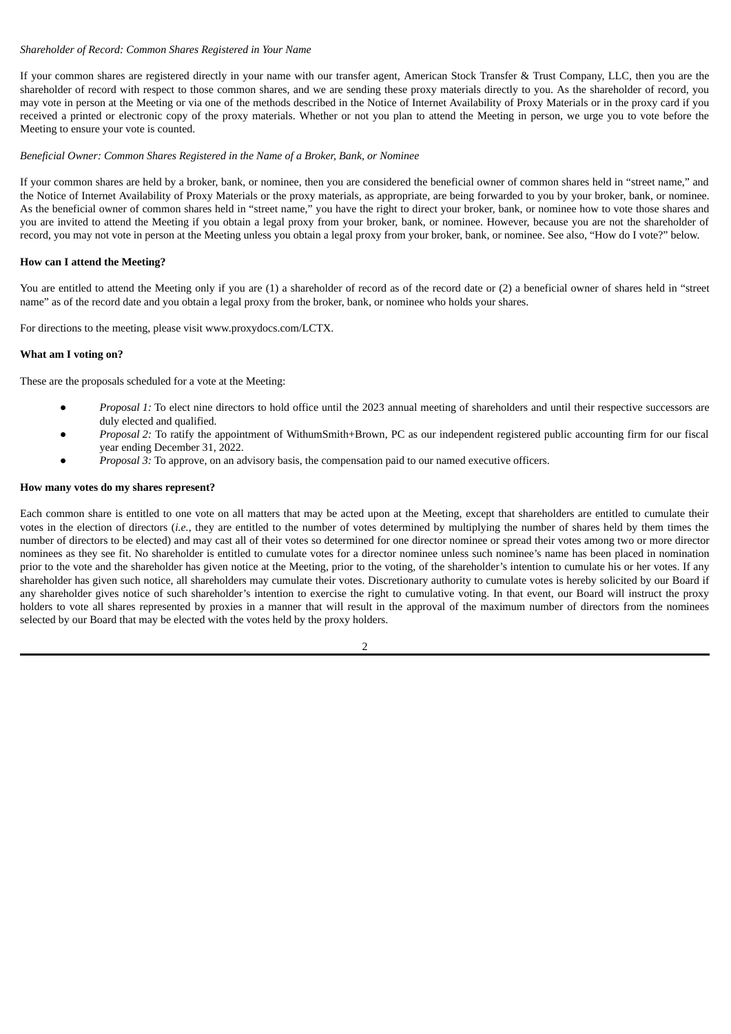## *Shareholder of Record: Common Shares Registered in Your Name*

If your common shares are registered directly in your name with our transfer agent, American Stock Transfer & Trust Company, LLC, then you are the shareholder of record with respect to those common shares, and we are sending these proxy materials directly to you. As the shareholder of record, you may vote in person at the Meeting or via one of the methods described in the Notice of Internet Availability of Proxy Materials or in the proxy card if you received a printed or electronic copy of the proxy materials. Whether or not you plan to attend the Meeting in person, we urge you to vote before the Meeting to ensure your vote is counted.

## *Beneficial Owner: Common Shares Registered in the Name of a Broker, Bank, or Nominee*

If your common shares are held by a broker, bank, or nominee, then you are considered the beneficial owner of common shares held in "street name," and the Notice of Internet Availability of Proxy Materials or the proxy materials, as appropriate, are being forwarded to you by your broker, bank, or nominee. As the beneficial owner of common shares held in "street name," you have the right to direct your broker, bank, or nominee how to vote those shares and you are invited to attend the Meeting if you obtain a legal proxy from your broker, bank, or nominee. However, because you are not the shareholder of record, you may not vote in person at the Meeting unless you obtain a legal proxy from your broker, bank, or nominee. See also, "How do I vote?" below.

## **How can I attend the Meeting?**

You are entitled to attend the Meeting only if you are (1) a shareholder of record as of the record date or (2) a beneficial owner of shares held in "street name" as of the record date and you obtain a legal proxy from the broker, bank, or nominee who holds your shares.

For directions to the meeting, please visit www.proxydocs.com/LCTX.

#### **What am I voting on?**

These are the proposals scheduled for a vote at the Meeting:

- Proposal 1: To elect nine directors to hold office until the 2023 annual meeting of shareholders and until their respective successors are duly elected and qualified.
- *Proposal 2:* To ratify the appointment of WithumSmith+Brown, PC as our independent registered public accounting firm for our fiscal year ending December 31, 2022.
- *Proposal 3:* To approve, on an advisory basis, the compensation paid to our named executive officers.

#### **How many votes do my shares represent?**

Each common share is entitled to one vote on all matters that may be acted upon at the Meeting, except that shareholders are entitled to cumulate their votes in the election of directors (*i.e.*, they are entitled to the number of votes determined by multiplying the number of shares held by them times the number of directors to be elected) and may cast all of their votes so determined for one director nominee or spread their votes among two or more director nominees as they see fit. No shareholder is entitled to cumulate votes for a director nominee unless such nominee's name has been placed in nomination prior to the vote and the shareholder has given notice at the Meeting, prior to the voting, of the shareholder's intention to cumulate his or her votes. If any shareholder has given such notice, all shareholders may cumulate their votes. Discretionary authority to cumulate votes is hereby solicited by our Board if any shareholder gives notice of such shareholder's intention to exercise the right to cumulative voting. In that event, our Board will instruct the proxy holders to vote all shares represented by proxies in a manner that will result in the approval of the maximum number of directors from the nominees selected by our Board that may be elected with the votes held by the proxy holders.

 $\overline{2}$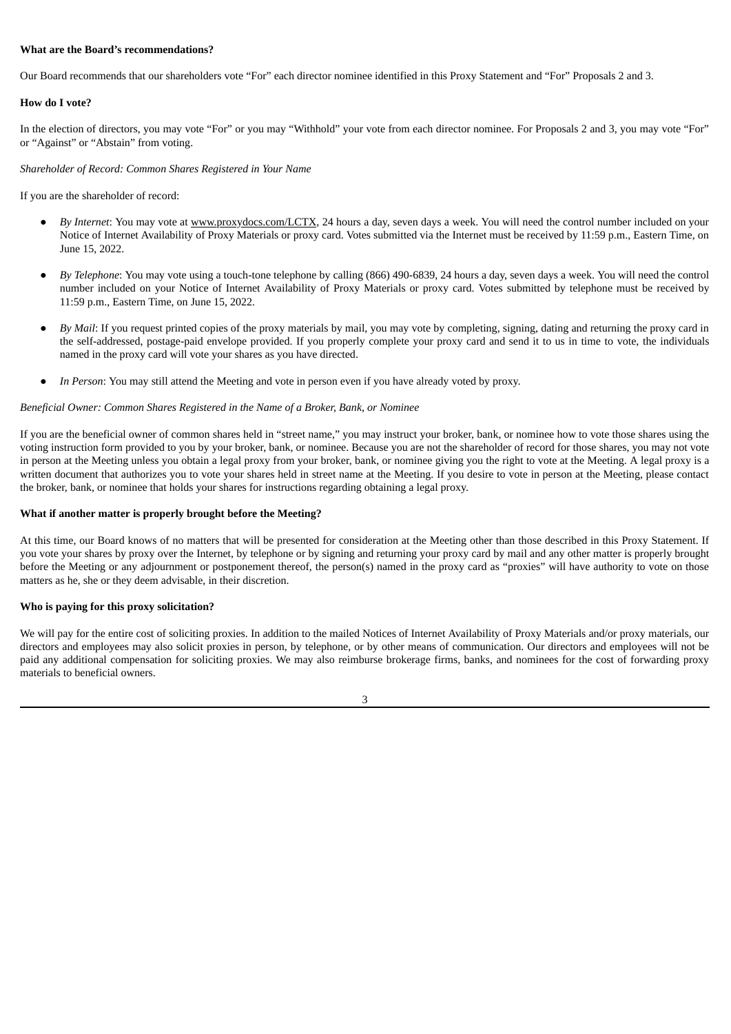## **What are the Board's recommendations?**

Our Board recommends that our shareholders vote "For" each director nominee identified in this Proxy Statement and "For" Proposals 2 and 3.

## **How do I vote?**

In the election of directors, you may vote "For" or you may "Withhold" your vote from each director nominee. For Proposals 2 and 3, you may vote "For" or "Against" or "Abstain" from voting.

## *Shareholder of Record: Common Shares Registered in Your Name*

If you are the shareholder of record:

- By *Internet*: You may vote at www.proxydocs.com/LCTX, 24 hours a day, seven days a week. You will need the control number included on your Notice of Internet Availability of Proxy Materials or proxy card. Votes submitted via the Internet must be received by 11:59 p.m., Eastern Time, on June 15, 2022.
- *By Telephone*: You may vote using a touch-tone telephone by calling (866) 490-6839, 24 hours a day, seven days a week. You will need the control number included on your Notice of Internet Availability of Proxy Materials or proxy card. Votes submitted by telephone must be received by 11:59 p.m., Eastern Time, on June 15, 2022.
- By *Mail*: If you request printed copies of the proxy materials by mail, you may vote by completing, signing, dating and returning the proxy card in the self-addressed, postage-paid envelope provided. If you properly complete your proxy card and send it to us in time to vote, the individuals named in the proxy card will vote your shares as you have directed.
- In Person: You may still attend the Meeting and vote in person even if you have already voted by proxy.

## *Beneficial Owner: Common Shares Registered in the Name of a Broker, Bank, or Nominee*

If you are the beneficial owner of common shares held in "street name," you may instruct your broker, bank, or nominee how to vote those shares using the voting instruction form provided to you by your broker, bank, or nominee. Because you are not the shareholder of record for those shares, you may not vote in person at the Meeting unless you obtain a legal proxy from your broker, bank, or nominee giving you the right to vote at the Meeting. A legal proxy is a written document that authorizes you to vote your shares held in street name at the Meeting. If you desire to vote in person at the Meeting, please contact the broker, bank, or nominee that holds your shares for instructions regarding obtaining a legal proxy.

#### **What if another matter is properly brought before the Meeting?**

At this time, our Board knows of no matters that will be presented for consideration at the Meeting other than those described in this Proxy Statement. If you vote your shares by proxy over the Internet, by telephone or by signing and returning your proxy card by mail and any other matter is properly brought before the Meeting or any adjournment or postponement thereof, the person(s) named in the proxy card as "proxies" will have authority to vote on those matters as he, she or they deem advisable, in their discretion.

#### **Who is paying for this proxy solicitation?**

We will pay for the entire cost of soliciting proxies. In addition to the mailed Notices of Internet Availability of Proxy Materials and/or proxy materials, our directors and employees may also solicit proxies in person, by telephone, or by other means of communication. Our directors and employees will not be paid any additional compensation for soliciting proxies. We may also reimburse brokerage firms, banks, and nominees for the cost of forwarding proxy materials to beneficial owners.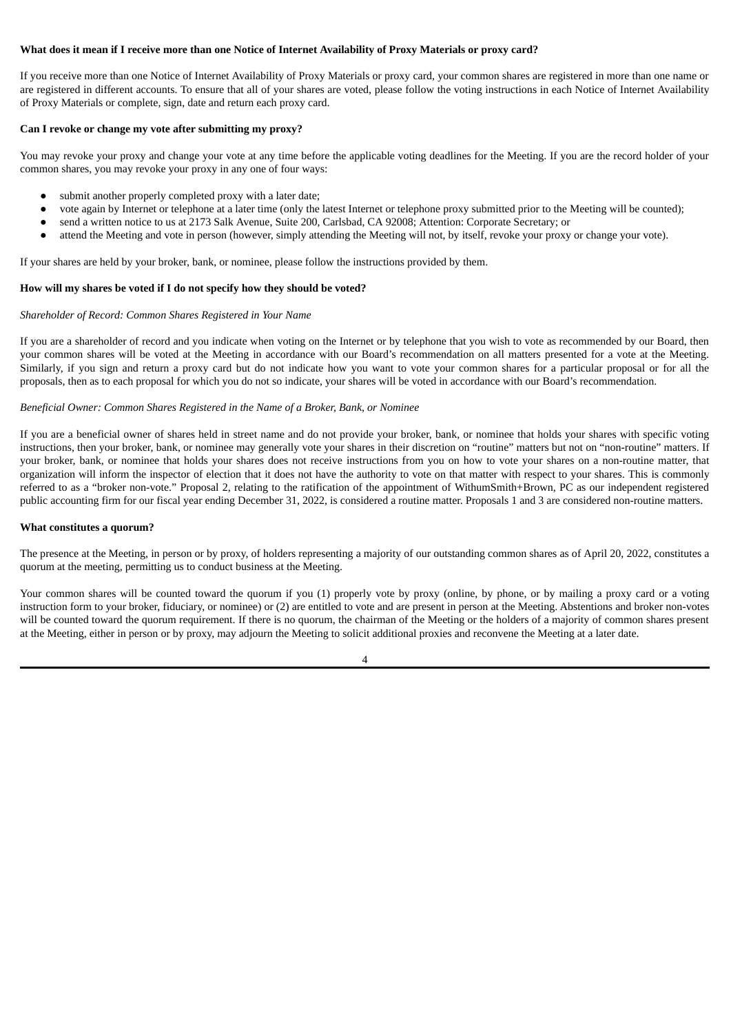## What does it mean if I receive more than one Notice of Internet Availability of Proxy Materials or proxy card?

If you receive more than one Notice of Internet Availability of Proxy Materials or proxy card, your common shares are registered in more than one name or are registered in different accounts. To ensure that all of your shares are voted, please follow the voting instructions in each Notice of Internet Availability of Proxy Materials or complete, sign, date and return each proxy card.

#### **Can I revoke or change my vote after submitting my proxy?**

You may revoke your proxy and change your vote at any time before the applicable voting deadlines for the Meeting. If you are the record holder of your common shares, you may revoke your proxy in any one of four ways:

- submit another properly completed proxy with a later date;
- vote again by Internet or telephone at a later time (only the latest Internet or telephone proxy submitted prior to the Meeting will be counted);
- send a written notice to us at 2173 Salk Avenue, Suite 200, Carlsbad, CA 92008; Attention: Corporate Secretary; or
- attend the Meeting and vote in person (however, simply attending the Meeting will not, by itself, revoke your proxy or change your vote).

If your shares are held by your broker, bank, or nominee, please follow the instructions provided by them.

#### **How will my shares be voted if I do not specify how they should be voted?**

#### *Shareholder of Record: Common Shares Registered in Your Name*

If you are a shareholder of record and you indicate when voting on the Internet or by telephone that you wish to vote as recommended by our Board, then your common shares will be voted at the Meeting in accordance with our Board's recommendation on all matters presented for a vote at the Meeting. Similarly, if you sign and return a proxy card but do not indicate how you want to vote your common shares for a particular proposal or for all the proposals, then as to each proposal for which you do not so indicate, your shares will be voted in accordance with our Board's recommendation.

## *Beneficial Owner: Common Shares Registered in the Name of a Broker, Bank, or Nominee*

If you are a beneficial owner of shares held in street name and do not provide your broker, bank, or nominee that holds your shares with specific voting instructions, then your broker, bank, or nominee may generally vote your shares in their discretion on "routine" matters but not on "non-routine" matters. If your broker, bank, or nominee that holds your shares does not receive instructions from you on how to vote your shares on a non-routine matter, that organization will inform the inspector of election that it does not have the authority to vote on that matter with respect to your shares. This is commonly referred to as a "broker non-vote." Proposal 2, relating to the ratification of the appointment of WithumSmith+Brown, PC as our independent registered public accounting firm for our fiscal year ending December 31, 2022, is considered a routine matter. Proposals 1 and 3 are considered non-routine matters.

#### **What constitutes a quorum?**

The presence at the Meeting, in person or by proxy, of holders representing a majority of our outstanding common shares as of April 20, 2022, constitutes a quorum at the meeting, permitting us to conduct business at the Meeting.

Your common shares will be counted toward the quorum if you (1) properly vote by proxy (online, by phone, or by mailing a proxy card or a voting instruction form to your broker, fiduciary, or nominee) or (2) are entitled to vote and are present in person at the Meeting. Abstentions and broker non-votes will be counted toward the quorum requirement. If there is no quorum, the chairman of the Meeting or the holders of a majority of common shares present at the Meeting, either in person or by proxy, may adjourn the Meeting to solicit additional proxies and reconvene the Meeting at a later date.

 $\Delta$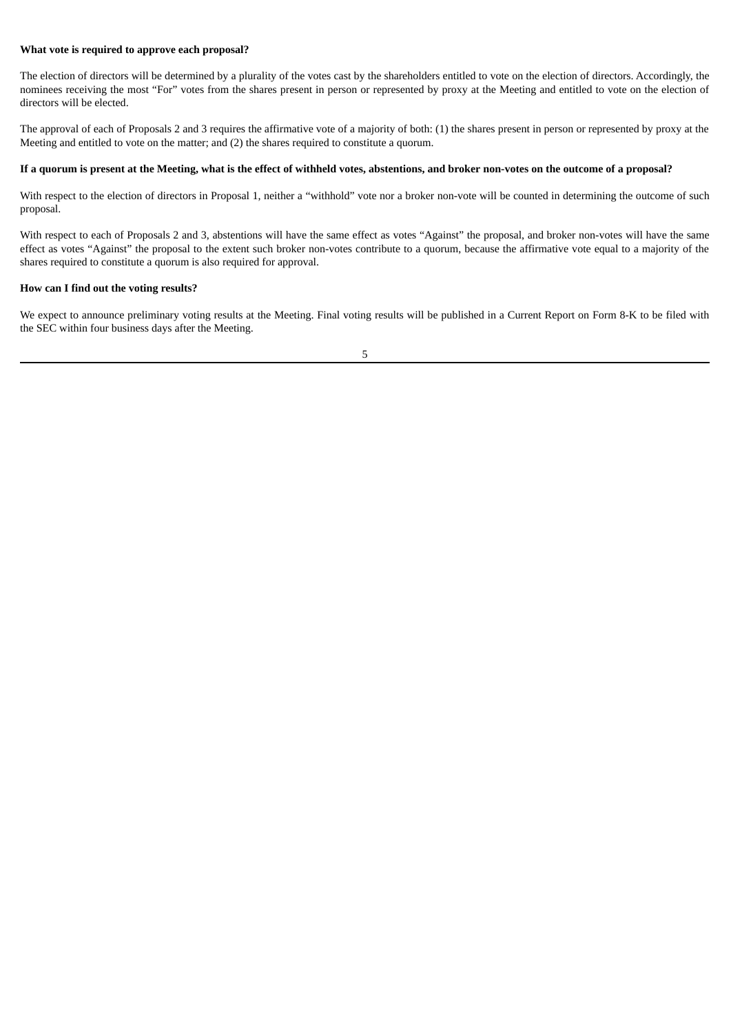## **What vote is required to approve each proposal?**

The election of directors will be determined by a plurality of the votes cast by the shareholders entitled to vote on the election of directors. Accordingly, the nominees receiving the most "For" votes from the shares present in person or represented by proxy at the Meeting and entitled to vote on the election of directors will be elected.

The approval of each of Proposals 2 and 3 requires the affirmative vote of a majority of both: (1) the shares present in person or represented by proxy at the Meeting and entitled to vote on the matter; and (2) the shares required to constitute a quorum.

## If a quorum is present at the Meeting, what is the effect of withheld votes, abstentions, and broker non-votes on the outcome of a proposal?

With respect to the election of directors in Proposal 1, neither a "withhold" vote nor a broker non-vote will be counted in determining the outcome of such proposal.

With respect to each of Proposals 2 and 3, abstentions will have the same effect as votes "Against" the proposal, and broker non-votes will have the same effect as votes "Against" the proposal to the extent such broker non-votes contribute to a quorum, because the affirmative vote equal to a majority of the shares required to constitute a quorum is also required for approval.

## **How can I find out the voting results?**

We expect to announce preliminary voting results at the Meeting. Final voting results will be published in a Current Report on Form 8-K to be filed with the SEC within four business days after the Meeting.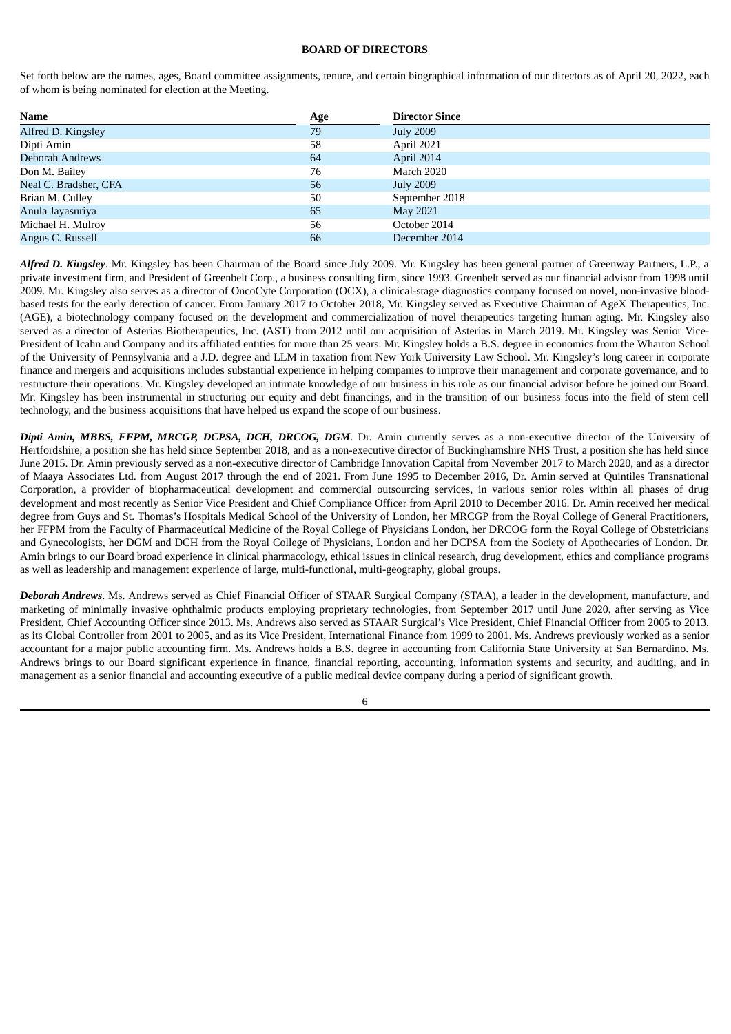## **BOARD OF DIRECTORS**

Set forth below are the names, ages, Board committee assignments, tenure, and certain biographical information of our directors as of April 20, 2022, each of whom is being nominated for election at the Meeting.

| <b>Name</b>            | Age | <b>Director Since</b> |
|------------------------|-----|-----------------------|
| Alfred D. Kingsley     | 79  | <b>July 2009</b>      |
| Dipti Amin             | 58  | April 2021            |
| <b>Deborah Andrews</b> | 64  | April 2014            |
| Don M. Bailey          | 76  | March 2020            |
| Neal C. Bradsher, CFA  | 56  | <b>July 2009</b>      |
| Brian M. Culley        | 50  | September 2018        |
| Anula Jayasuriya       | 65  | May 2021              |
| Michael H. Mulroy      | 56  | October 2014          |
| Angus C. Russell       | 66  | December 2014         |

*Alfred D. Kingsley*. Mr. Kingsley has been Chairman of the Board since July 2009. Mr. Kingsley has been general partner of Greenway Partners, L.P., a private investment firm, and President of Greenbelt Corp., a business consulting firm, since 1993. Greenbelt served as our financial advisor from 1998 until 2009. Mr. Kingsley also serves as a director of OncoCyte Corporation (OCX), a clinical-stage diagnostics company focused on novel, non-invasive bloodbased tests for the early detection of cancer. From January 2017 to October 2018, Mr. Kingsley served as Executive Chairman of AgeX Therapeutics, Inc. (AGE), a biotechnology company focused on the development and commercialization of novel therapeutics targeting human aging. Mr. Kingsley also served as a director of Asterias Biotherapeutics, Inc. (AST) from 2012 until our acquisition of Asterias in March 2019. Mr. Kingsley was Senior Vice-President of Icahn and Company and its affiliated entities for more than 25 years. Mr. Kingsley holds a B.S. degree in economics from the Wharton School of the University of Pennsylvania and a J.D. degree and LLM in taxation from New York University Law School. Mr. Kingsley's long career in corporate finance and mergers and acquisitions includes substantial experience in helping companies to improve their management and corporate governance, and to restructure their operations. Mr. Kingsley developed an intimate knowledge of our business in his role as our financial advisor before he joined our Board. Mr. Kingsley has been instrumental in structuring our equity and debt financings, and in the transition of our business focus into the field of stem cell technology, and the business acquisitions that have helped us expand the scope of our business.

*Dipti Amin, MBBS, FFPM, MRCGP, DCPSA, DCH, DRCOG, DGM*. Dr. Amin currently serves as a non-executive director of the University of Hertfordshire, a position she has held since September 2018, and as a non-executive director of Buckinghamshire NHS Trust, a position she has held since June 2015. Dr. Amin previously served as a non-executive director of Cambridge Innovation Capital from November 2017 to March 2020, and as a director of Maaya Associates Ltd. from August 2017 through the end of 2021. From June 1995 to December 2016, Dr. Amin served at Quintiles Transnational Corporation, a provider of biopharmaceutical development and commercial outsourcing services, in various senior roles within all phases of drug development and most recently as Senior Vice President and Chief Compliance Officer from April 2010 to December 2016. Dr. Amin received her medical degree from Guys and St. Thomas's Hospitals Medical School of the University of London, her MRCGP from the Royal College of General Practitioners, her FFPM from the Faculty of Pharmaceutical Medicine of the Royal College of Physicians London, her DRCOG form the Royal College of Obstetricians and Gynecologists, her DGM and DCH from the Royal College of Physicians, London and her DCPSA from the Society of Apothecaries of London. Dr. Amin brings to our Board broad experience in clinical pharmacology, ethical issues in clinical research, drug development, ethics and compliance programs as well as leadership and management experience of large, multi-functional, multi-geography, global groups.

*Deborah Andrews*. Ms. Andrews served as Chief Financial Officer of STAAR Surgical Company (STAA), a leader in the development, manufacture, and marketing of minimally invasive ophthalmic products employing proprietary technologies, from September 2017 until June 2020, after serving as Vice President, Chief Accounting Officer since 2013. Ms. Andrews also served as STAAR Surgical's Vice President, Chief Financial Officer from 2005 to 2013, as its Global Controller from 2001 to 2005, and as its Vice President, International Finance from 1999 to 2001. Ms. Andrews previously worked as a senior accountant for a major public accounting firm. Ms. Andrews holds a B.S. degree in accounting from California State University at San Bernardino. Ms. Andrews brings to our Board significant experience in finance, financial reporting, accounting, information systems and security, and auditing, and in management as a senior financial and accounting executive of a public medical device company during a period of significant growth.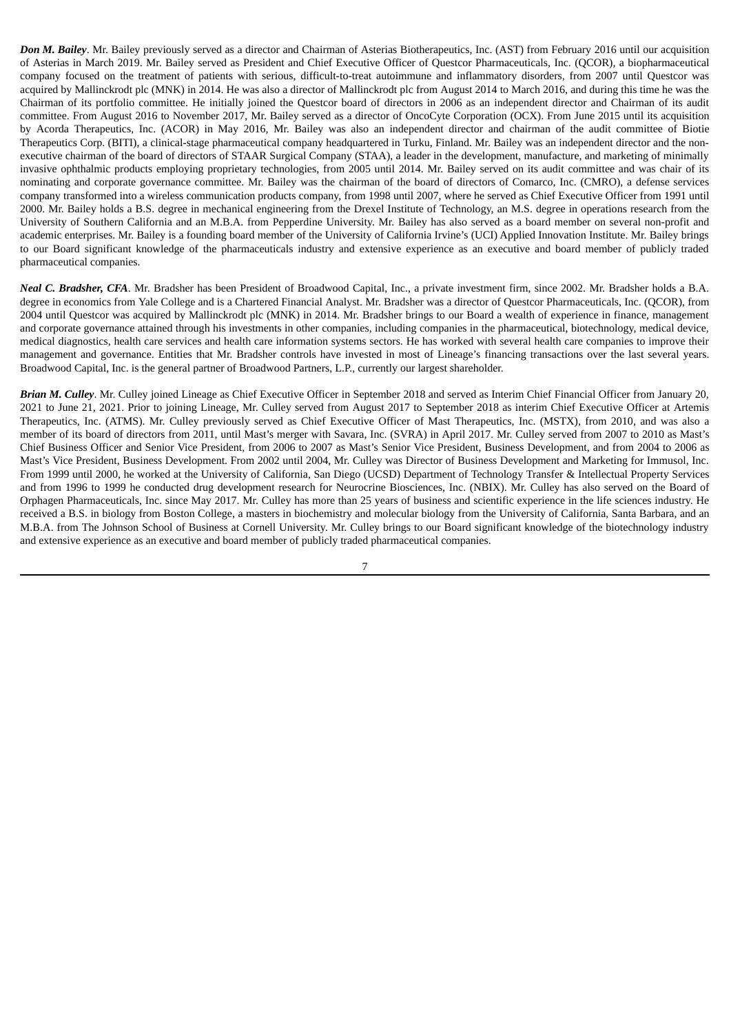*Don M. Bailey*. Mr. Bailey previously served as a director and Chairman of Asterias Biotherapeutics, Inc. (AST) from February 2016 until our acquisition of Asterias in March 2019. Mr. Bailey served as President and Chief Executive Officer of Questcor Pharmaceuticals, Inc. (QCOR), a biopharmaceutical company focused on the treatment of patients with serious, difficult-to-treat autoimmune and inflammatory disorders, from 2007 until Questcor was acquired by Mallinckrodt plc (MNK) in 2014. He was also a director of Mallinckrodt plc from August 2014 to March 2016, and during this time he was the Chairman of its portfolio committee. He initially joined the Questcor board of directors in 2006 as an independent director and Chairman of its audit committee. From August 2016 to November 2017, Mr. Bailey served as a director of OncoCyte Corporation (OCX). From June 2015 until its acquisition by Acorda Therapeutics, Inc. (ACOR) in May 2016, Mr. Bailey was also an independent director and chairman of the audit committee of Biotie Therapeutics Corp. (BITI), a clinical-stage pharmaceutical company headquartered in Turku, Finland. Mr. Bailey was an independent director and the nonexecutive chairman of the board of directors of STAAR Surgical Company (STAA), a leader in the development, manufacture, and marketing of minimally invasive ophthalmic products employing proprietary technologies, from 2005 until 2014. Mr. Bailey served on its audit committee and was chair of its nominating and corporate governance committee. Mr. Bailey was the chairman of the board of directors of Comarco, Inc. (CMRO), a defense services company transformed into a wireless communication products company, from 1998 until 2007, where he served as Chief Executive Officer from 1991 until 2000. Mr. Bailey holds a B.S. degree in mechanical engineering from the Drexel Institute of Technology, an M.S. degree in operations research from the University of Southern California and an M.B.A. from Pepperdine University. Mr. Bailey has also served as a board member on several non-profit and academic enterprises. Mr. Bailey is a founding board member of the University of California Irvine's (UCI) Applied Innovation Institute. Mr. Bailey brings to our Board significant knowledge of the pharmaceuticals industry and extensive experience as an executive and board member of publicly traded pharmaceutical companies.

*Neal C. Bradsher, CFA*. Mr. Bradsher has been President of Broadwood Capital, Inc., a private investment firm, since 2002. Mr. Bradsher holds a B.A. degree in economics from Yale College and is a Chartered Financial Analyst. Mr. Bradsher was a director of Questcor Pharmaceuticals, Inc. (QCOR), from 2004 until Questcor was acquired by Mallinckrodt plc (MNK) in 2014. Mr. Bradsher brings to our Board a wealth of experience in finance, management and corporate governance attained through his investments in other companies, including companies in the pharmaceutical, biotechnology, medical device, medical diagnostics, health care services and health care information systems sectors. He has worked with several health care companies to improve their management and governance. Entities that Mr. Bradsher controls have invested in most of Lineage's financing transactions over the last several years. Broadwood Capital, Inc. is the general partner of Broadwood Partners, L.P., currently our largest shareholder.

*Brian M. Culley*. Mr. Culley joined Lineage as Chief Executive Officer in September 2018 and served as Interim Chief Financial Officer from January 20, 2021 to June 21, 2021. Prior to joining Lineage, Mr. Culley served from August 2017 to September 2018 as interim Chief Executive Officer at Artemis Therapeutics, Inc. (ATMS). Mr. Culley previously served as Chief Executive Officer of Mast Therapeutics, Inc. (MSTX), from 2010, and was also a member of its board of directors from 2011, until Mast's merger with Savara, Inc. (SVRA) in April 2017. Mr. Culley served from 2007 to 2010 as Mast's Chief Business Officer and Senior Vice President, from 2006 to 2007 as Mast's Senior Vice President, Business Development, and from 2004 to 2006 as Mast's Vice President, Business Development. From 2002 until 2004, Mr. Culley was Director of Business Development and Marketing for Immusol, Inc. From 1999 until 2000, he worked at the University of California, San Diego (UCSD) Department of Technology Transfer & Intellectual Property Services and from 1996 to 1999 he conducted drug development research for Neurocrine Biosciences, Inc. (NBIX). Mr. Culley has also served on the Board of Orphagen Pharmaceuticals, Inc. since May 2017. Mr. Culley has more than 25 years of business and scientific experience in the life sciences industry. He received a B.S. in biology from Boston College, a masters in biochemistry and molecular biology from the University of California, Santa Barbara, and an M.B.A. from The Johnson School of Business at Cornell University. Mr. Culley brings to our Board significant knowledge of the biotechnology industry and extensive experience as an executive and board member of publicly traded pharmaceutical companies.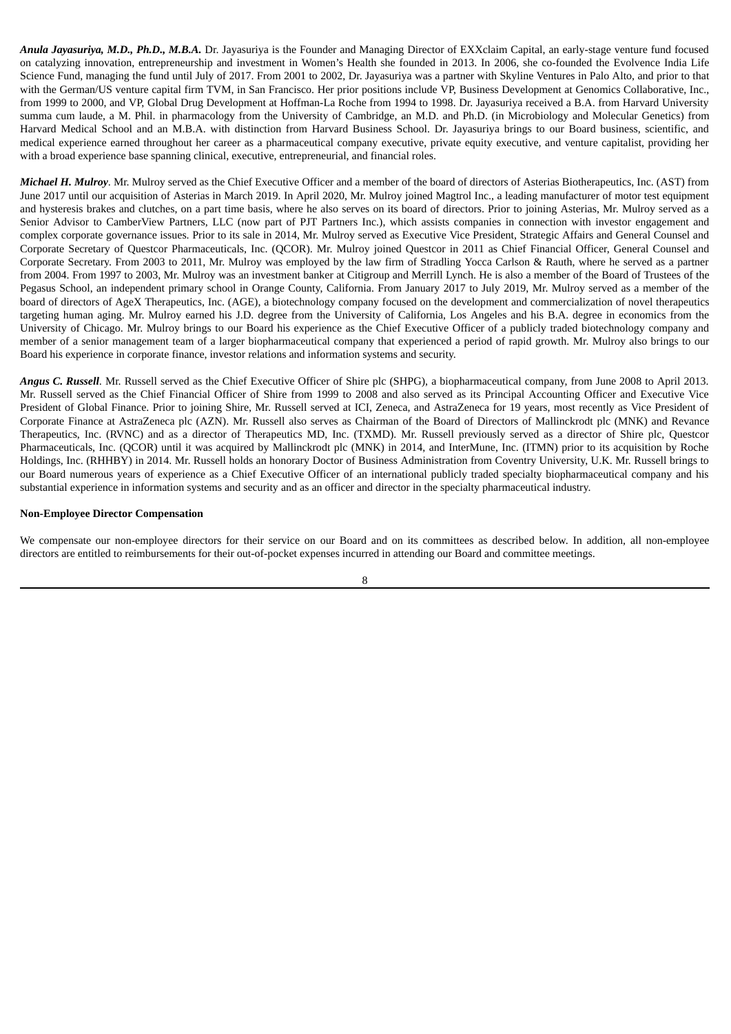*Anula Jayasuriya, M.D., Ph.D., M.B.A.* Dr. Jayasuriya is the Founder and Managing Director of EXXclaim Capital, an early-stage venture fund focused on catalyzing innovation, entrepreneurship and investment in Women's Health she founded in 2013. In 2006, she co-founded the Evolvence India Life Science Fund, managing the fund until July of 2017. From 2001 to 2002, Dr. Jayasuriya was a partner with Skyline Ventures in Palo Alto, and prior to that with the German/US venture capital firm TVM, in San Francisco. Her prior positions include VP, Business Development at Genomics Collaborative, Inc., from 1999 to 2000, and VP, Global Drug Development at Hoffman-La Roche from 1994 to 1998. Dr. Jayasuriya received a B.A. from Harvard University summa cum laude, a M. Phil. in pharmacology from the University of Cambridge, an M.D. and Ph.D. (in Microbiology and Molecular Genetics) from Harvard Medical School and an M.B.A. with distinction from Harvard Business School. Dr. Jayasuriya brings to our Board business, scientific, and medical experience earned throughout her career as a pharmaceutical company executive, private equity executive, and venture capitalist, providing her with a broad experience base spanning clinical, executive, entrepreneurial, and financial roles.

*Michael H. Mulroy*. Mr. Mulroy served as the Chief Executive Officer and a member of the board of directors of Asterias Biotherapeutics, Inc. (AST) from June 2017 until our acquisition of Asterias in March 2019. In April 2020, Mr. Mulroy joined Magtrol Inc., a leading manufacturer of motor test equipment and hysteresis brakes and clutches, on a part time basis, where he also serves on its board of directors. Prior to joining Asterias, Mr. Mulroy served as a Senior Advisor to CamberView Partners, LLC (now part of PJT Partners Inc.), which assists companies in connection with investor engagement and complex corporate governance issues. Prior to its sale in 2014, Mr. Mulroy served as Executive Vice President, Strategic Affairs and General Counsel and Corporate Secretary of Questcor Pharmaceuticals, Inc. (QCOR). Mr. Mulroy joined Questcor in 2011 as Chief Financial Officer, General Counsel and Corporate Secretary. From 2003 to 2011, Mr. Mulroy was employed by the law firm of Stradling Yocca Carlson & Rauth, where he served as a partner from 2004. From 1997 to 2003, Mr. Mulroy was an investment banker at Citigroup and Merrill Lynch. He is also a member of the Board of Trustees of the Pegasus School, an independent primary school in Orange County, California. From January 2017 to July 2019, Mr. Mulroy served as a member of the board of directors of AgeX Therapeutics, Inc. (AGE), a biotechnology company focused on the development and commercialization of novel therapeutics targeting human aging. Mr. Mulroy earned his J.D. degree from the University of California, Los Angeles and his B.A. degree in economics from the University of Chicago. Mr. Mulroy brings to our Board his experience as the Chief Executive Officer of a publicly traded biotechnology company and member of a senior management team of a larger biopharmaceutical company that experienced a period of rapid growth. Mr. Mulroy also brings to our Board his experience in corporate finance, investor relations and information systems and security.

*Angus C. Russell*. Mr. Russell served as the Chief Executive Officer of Shire plc (SHPG), a biopharmaceutical company, from June 2008 to April 2013. Mr. Russell served as the Chief Financial Officer of Shire from 1999 to 2008 and also served as its Principal Accounting Officer and Executive Vice President of Global Finance. Prior to joining Shire, Mr. Russell served at ICI, Zeneca, and AstraZeneca for 19 years, most recently as Vice President of Corporate Finance at AstraZeneca plc (AZN). Mr. Russell also serves as Chairman of the Board of Directors of Mallinckrodt plc (MNK) and Revance Therapeutics, Inc. (RVNC) and as a director of Therapeutics MD, Inc. (TXMD). Mr. Russell previously served as a director of Shire plc, Questcor Pharmaceuticals, Inc. (QCOR) until it was acquired by Mallinckrodt plc (MNK) in 2014, and InterMune, Inc. (ITMN) prior to its acquisition by Roche Holdings, Inc. (RHHBY) in 2014. Mr. Russell holds an honorary Doctor of Business Administration from Coventry University, U.K. Mr. Russell brings to our Board numerous years of experience as a Chief Executive Officer of an international publicly traded specialty biopharmaceutical company and his substantial experience in information systems and security and as an officer and director in the specialty pharmaceutical industry.

## **Non-Employee Director Compensation**

We compensate our non-employee directors for their service on our Board and on its committees as described below. In addition, all non-employee directors are entitled to reimbursements for their out-of-pocket expenses incurred in attending our Board and committee meetings.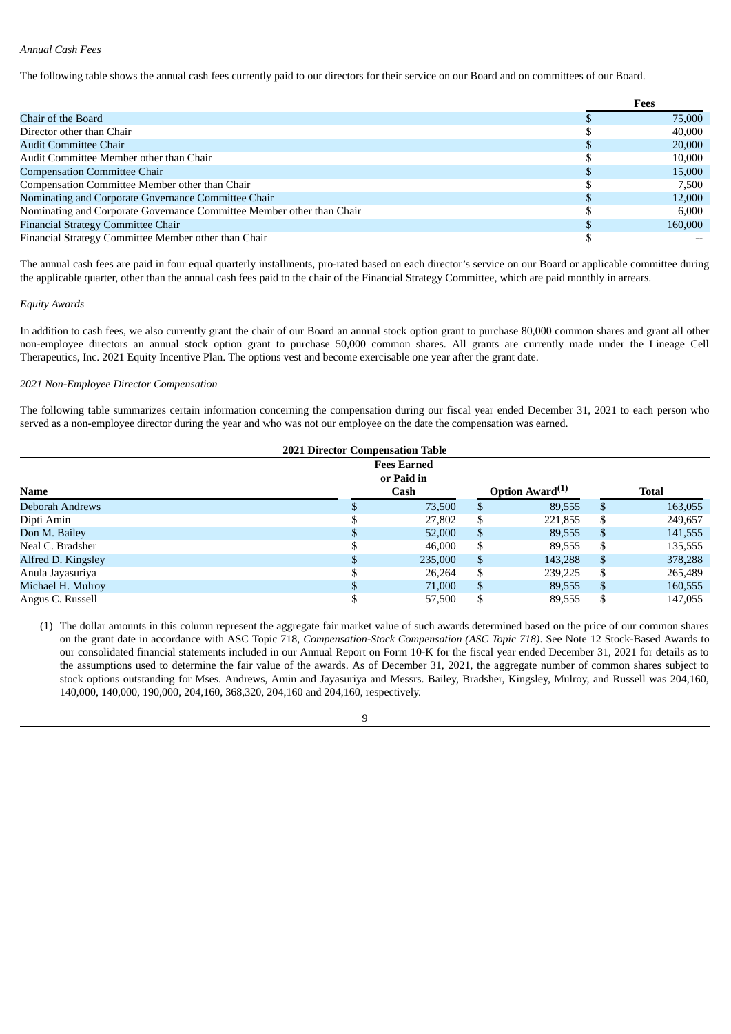## *Annual Cash Fees*

The following table shows the annual cash fees currently paid to our directors for their service on our Board and on committees of our Board.

|                                                                       | Fees    |
|-----------------------------------------------------------------------|---------|
| Chair of the Board                                                    | 75,000  |
| Director other than Chair                                             | 40,000  |
| <b>Audit Committee Chair</b>                                          | 20,000  |
| Audit Committee Member other than Chair                               | 10,000  |
| <b>Compensation Committee Chair</b>                                   | 15,000  |
| Compensation Committee Member other than Chair                        | 7.500   |
| Nominating and Corporate Governance Committee Chair                   | 12,000  |
| Nominating and Corporate Governance Committee Member other than Chair | 6.000   |
| Financial Strategy Committee Chair                                    | 160,000 |
| Financial Strategy Committee Member other than Chair                  |         |

The annual cash fees are paid in four equal quarterly installments, pro-rated based on each director's service on our Board or applicable committee during the applicable quarter, other than the annual cash fees paid to the chair of the Financial Strategy Committee, which are paid monthly in arrears.

## *Equity Awards*

In addition to cash fees, we also currently grant the chair of our Board an annual stock option grant to purchase 80,000 common shares and grant all other non-employee directors an annual stock option grant to purchase 50,000 common shares. All grants are currently made under the Lineage Cell Therapeutics, Inc. 2021 Equity Incentive Plan. The options vest and become exercisable one year after the grant date.

## *2021 Non-Employee Director Compensation*

The following table summarizes certain information concerning the compensation during our fiscal year ended December 31, 2021 to each person who served as a non-employee director during the year and who was not our employee on the date the compensation was earned.

|                    |    | <b>2021 Director Compensation Table</b> |                             |    |         |
|--------------------|----|-----------------------------------------|-----------------------------|----|---------|
|                    |    | <b>Fees Earned</b>                      |                             |    |         |
|                    |    | or Paid in                              |                             |    |         |
| <b>Name</b>        |    | Cash                                    | Option Award <sup>(1)</sup> |    | Total   |
| Deborah Andrews    |    | 73,500                                  | 89,555                      | S  | 163,055 |
| Dipti Amin         |    | 27,802                                  | \$<br>221,855               | \$ | 249,657 |
| Don M. Bailey      | \$ | 52,000                                  | \$<br>89,555                | \$ | 141,555 |
| Neal C. Bradsher   | ¢  | 46,000                                  | \$<br>89,555                | \$ | 135,555 |
| Alfred D. Kingsley | \$ | 235,000                                 | \$<br>143,288               | \$ | 378,288 |
| Anula Jayasuriya   | \$ | 26,264                                  | \$<br>239,225               | \$ | 265,489 |
| Michael H. Mulroy  | \$ | 71,000                                  | \$<br>89,555                | \$ | 160,555 |
| Angus C. Russell   | \$ | 57,500                                  | \$<br>89,555                | S  | 147.055 |

(1) The dollar amounts in this column represent the aggregate fair market value of such awards determined based on the price of our common shares on the grant date in accordance with ASC Topic 718, *Compensation-Stock Compensation (ASC Topic 718)*. See Note 12 Stock-Based Awards to our consolidated financial statements included in our Annual Report on Form 10-K for the fiscal year ended December 31, 2021 for details as to the assumptions used to determine the fair value of the awards. As of December 31, 2021, the aggregate number of common shares subject to stock options outstanding for Mses. Andrews, Amin and Jayasuriya and Messrs. Bailey, Bradsher, Kingsley, Mulroy, and Russell was 204,160, 140,000, 140,000, 190,000, 204,160, 368,320, 204,160 and 204,160, respectively.

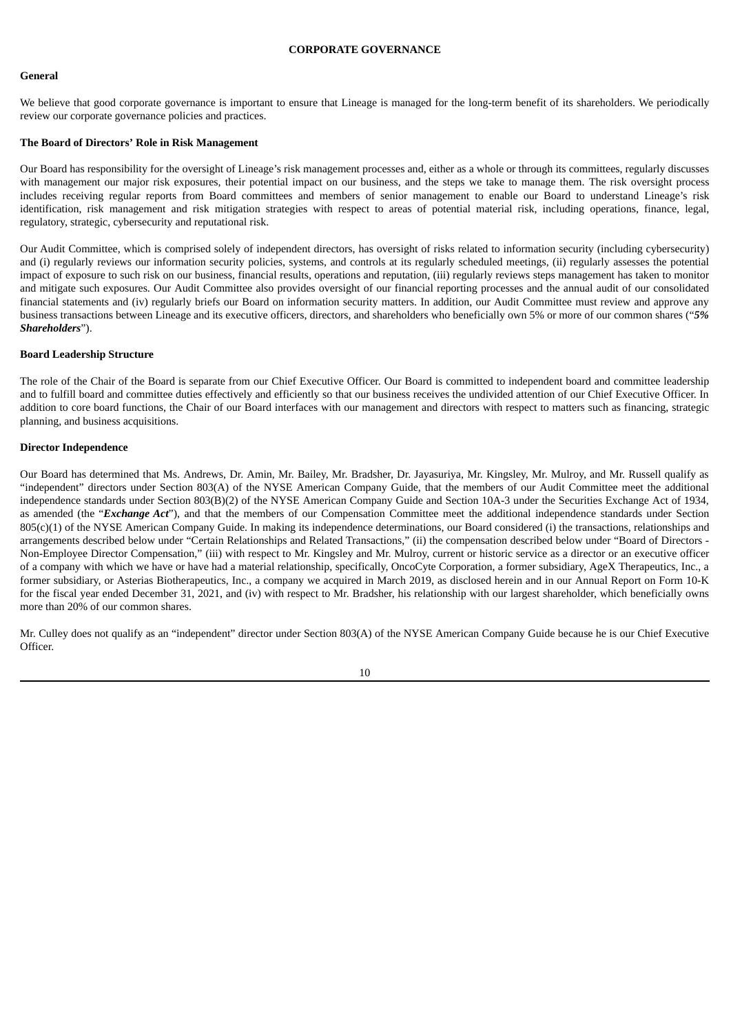## **CORPORATE GOVERNANCE**

#### **General**

We believe that good corporate governance is important to ensure that Lineage is managed for the long-term benefit of its shareholders. We periodically review our corporate governance policies and practices.

#### **The Board of Directors' Role in Risk Management**

Our Board has responsibility for the oversight of Lineage's risk management processes and, either as a whole or through its committees, regularly discusses with management our major risk exposures, their potential impact on our business, and the steps we take to manage them. The risk oversight process includes receiving regular reports from Board committees and members of senior management to enable our Board to understand Lineage's risk identification, risk management and risk mitigation strategies with respect to areas of potential material risk, including operations, finance, legal, regulatory, strategic, cybersecurity and reputational risk.

Our Audit Committee, which is comprised solely of independent directors, has oversight of risks related to information security (including cybersecurity) and (i) regularly reviews our information security policies, systems, and controls at its regularly scheduled meetings, (ii) regularly assesses the potential impact of exposure to such risk on our business, financial results, operations and reputation, (iii) regularly reviews steps management has taken to monitor and mitigate such exposures. Our Audit Committee also provides oversight of our financial reporting processes and the annual audit of our consolidated financial statements and (iv) regularly briefs our Board on information security matters. In addition, our Audit Committee must review and approve any business transactions between Lineage and its executive officers, directors, and shareholders who beneficially own 5% or more of our common shares ("*5% Shareholders*").

#### **Board Leadership Structure**

The role of the Chair of the Board is separate from our Chief Executive Officer. Our Board is committed to independent board and committee leadership and to fulfill board and committee duties effectively and efficiently so that our business receives the undivided attention of our Chief Executive Officer. In addition to core board functions, the Chair of our Board interfaces with our management and directors with respect to matters such as financing, strategic planning, and business acquisitions.

#### **Director Independence**

Our Board has determined that Ms. Andrews, Dr. Amin, Mr. Bailey, Mr. Bradsher, Dr. Jayasuriya, Mr. Kingsley, Mr. Mulroy, and Mr. Russell qualify as "independent" directors under Section 803(A) of the NYSE American Company Guide, that the members of our Audit Committee meet the additional independence standards under Section 803(B)(2) of the NYSE American Company Guide and Section 10A-3 under the Securities Exchange Act of 1934, as amended (the "*Exchange Act*"), and that the members of our Compensation Committee meet the additional independence standards under Section 805(c)(1) of the NYSE American Company Guide. In making its independence determinations, our Board considered (i) the transactions, relationships and arrangements described below under "Certain Relationships and Related Transactions," (ii) the compensation described below under "Board of Directors - Non-Employee Director Compensation," (iii) with respect to Mr. Kingsley and Mr. Mulroy, current or historic service as a director or an executive officer of a company with which we have or have had a material relationship, specifically, OncoCyte Corporation, a former subsidiary, AgeX Therapeutics, Inc., a former subsidiary, or Asterias Biotherapeutics, Inc., a company we acquired in March 2019, as disclosed herein and in our Annual Report on Form 10-K for the fiscal year ended December 31, 2021, and (iv) with respect to Mr. Bradsher, his relationship with our largest shareholder, which beneficially owns more than 20% of our common shares.

Mr. Culley does not qualify as an "independent" director under Section 803(A) of the NYSE American Company Guide because he is our Chief Executive Officer.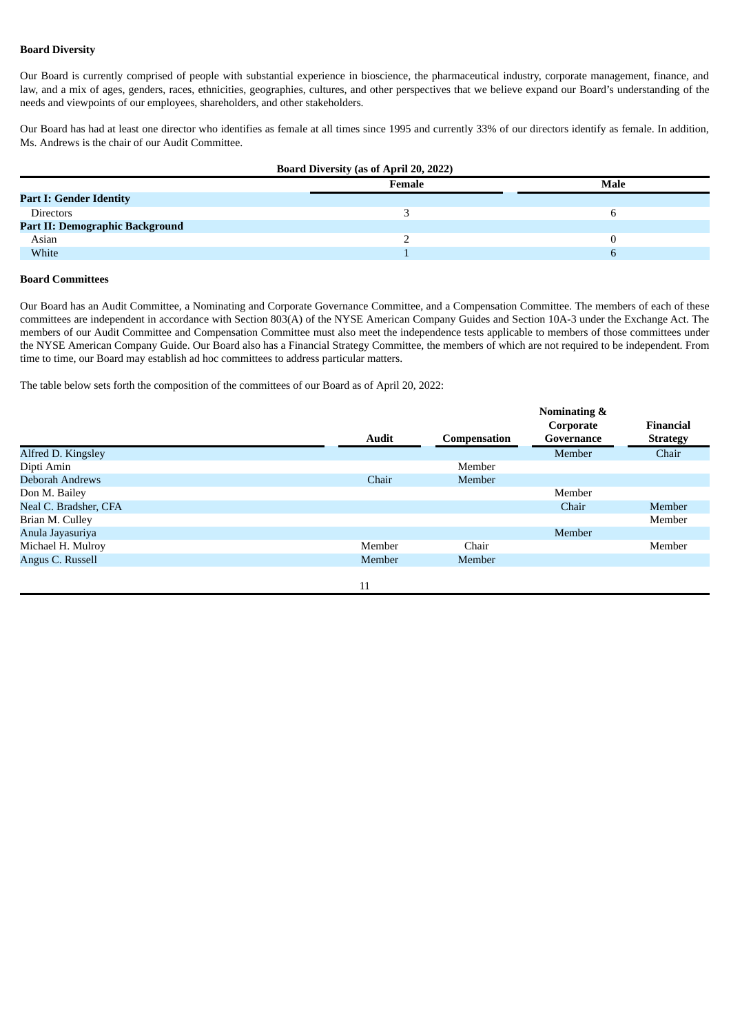## **Board Diversity**

Our Board is currently comprised of people with substantial experience in bioscience, the pharmaceutical industry, corporate management, finance, and law, and a mix of ages, genders, races, ethnicities, geographies, cultures, and other perspectives that we believe expand our Board's understanding of the needs and viewpoints of our employees, shareholders, and other stakeholders.

Our Board has had at least one director who identifies as female at all times since 1995 and currently 33% of our directors identify as female. In addition, Ms. Andrews is the chair of our Audit Committee.

| <b>Board Diversity (as of April 20, 2022)</b> |        |      |  |  |
|-----------------------------------------------|--------|------|--|--|
|                                               | Female | Male |  |  |
| <b>Part I: Gender Identity</b>                |        |      |  |  |
| <b>Directors</b>                              |        |      |  |  |
| <b>Part II: Demographic Background</b>        |        |      |  |  |
| Asian                                         |        |      |  |  |
| White                                         |        |      |  |  |
|                                               |        |      |  |  |

### **Board Committees**

Our Board has an Audit Committee, a Nominating and Corporate Governance Committee, and a Compensation Committee. The members of each of these committees are independent in accordance with Section 803(A) of the NYSE American Company Guides and Section 10A-3 under the Exchange Act. The members of our Audit Committee and Compensation Committee must also meet the independence tests applicable to members of those committees under the NYSE American Company Guide. Our Board also has a Financial Strategy Committee, the members of which are not required to be independent. From time to time, our Board may establish ad hoc committees to address particular matters.

The table below sets forth the composition of the committees of our Board as of April 20, 2022:

|                        | <b>Audit</b> | Compensation | Nominating &<br>Corporate<br>Governance | <b>Financial</b><br><b>Strategy</b> |
|------------------------|--------------|--------------|-----------------------------------------|-------------------------------------|
| Alfred D. Kingsley     |              |              | Member                                  | Chair                               |
| Dipti Amin             |              | Member       |                                         |                                     |
| <b>Deborah Andrews</b> | Chair        | Member       |                                         |                                     |
| Don M. Bailey          |              |              | Member                                  |                                     |
| Neal C. Bradsher, CFA  |              |              | Chair                                   | Member                              |
| Brian M. Culley        |              |              |                                         | Member                              |
| Anula Jayasuriya       |              |              | Member                                  |                                     |
| Michael H. Mulroy      | Member       | Chair        |                                         | Member                              |
| Angus C. Russell       | Member       | Member       |                                         |                                     |
|                        | 11           |              |                                         |                                     |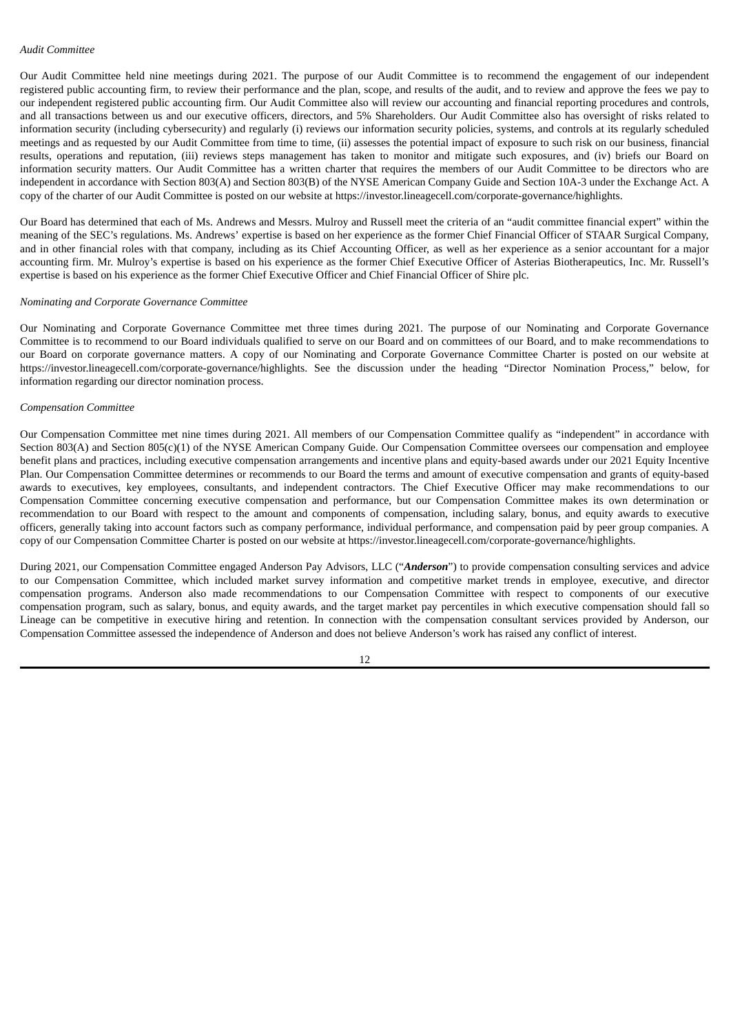Our Audit Committee held nine meetings during 2021. The purpose of our Audit Committee is to recommend the engagement of our independent registered public accounting firm, to review their performance and the plan, scope, and results of the audit, and to review and approve the fees we pay to our independent registered public accounting firm. Our Audit Committee also will review our accounting and financial reporting procedures and controls, and all transactions between us and our executive officers, directors, and 5% Shareholders. Our Audit Committee also has oversight of risks related to information security (including cybersecurity) and regularly (i) reviews our information security policies, systems, and controls at its regularly scheduled meetings and as requested by our Audit Committee from time to time, (ii) assesses the potential impact of exposure to such risk on our business, financial results, operations and reputation, (iii) reviews steps management has taken to monitor and mitigate such exposures, and (iv) briefs our Board on information security matters. Our Audit Committee has a written charter that requires the members of our Audit Committee to be directors who are independent in accordance with Section 803(A) and Section 803(B) of the NYSE American Company Guide and Section 10A-3 under the Exchange Act. A copy of the charter of our Audit Committee is posted on our website at https://investor.lineagecell.com/corporate-governance/highlights.

Our Board has determined that each of Ms. Andrews and Messrs. Mulroy and Russell meet the criteria of an "audit committee financial expert" within the meaning of the SEC's regulations. Ms. Andrews' expertise is based on her experience as the former Chief Financial Officer of STAAR Surgical Company, and in other financial roles with that company, including as its Chief Accounting Officer, as well as her experience as a senior accountant for a major accounting firm. Mr. Mulroy's expertise is based on his experience as the former Chief Executive Officer of Asterias Biotherapeutics, Inc. Mr. Russell's expertise is based on his experience as the former Chief Executive Officer and Chief Financial Officer of Shire plc.

#### *Nominating and Corporate Governance Committee*

Our Nominating and Corporate Governance Committee met three times during 2021. The purpose of our Nominating and Corporate Governance Committee is to recommend to our Board individuals qualified to serve on our Board and on committees of our Board, and to make recommendations to our Board on corporate governance matters. A copy of our Nominating and Corporate Governance Committee Charter is posted on our website at https://investor.lineagecell.com/corporate-governance/highlights. See the discussion under the heading "Director Nomination Process," below, for information regarding our director nomination process.

#### *Compensation Committee*

Our Compensation Committee met nine times during 2021. All members of our Compensation Committee qualify as "independent" in accordance with Section 803(A) and Section 805(c)(1) of the NYSE American Company Guide. Our Compensation Committee oversees our compensation and employee benefit plans and practices, including executive compensation arrangements and incentive plans and equity-based awards under our 2021 Equity Incentive Plan. Our Compensation Committee determines or recommends to our Board the terms and amount of executive compensation and grants of equity-based awards to executives, key employees, consultants, and independent contractors. The Chief Executive Officer may make recommendations to our Compensation Committee concerning executive compensation and performance, but our Compensation Committee makes its own determination or recommendation to our Board with respect to the amount and components of compensation, including salary, bonus, and equity awards to executive officers, generally taking into account factors such as company performance, individual performance, and compensation paid by peer group companies. A copy of our Compensation Committee Charter is posted on our website at https://investor.lineagecell.com/corporate-governance/highlights.

During 2021, our Compensation Committee engaged Anderson Pay Advisors, LLC ("*Anderson*") to provide compensation consulting services and advice to our Compensation Committee, which included market survey information and competitive market trends in employee, executive, and director compensation programs. Anderson also made recommendations to our Compensation Committee with respect to components of our executive compensation program, such as salary, bonus, and equity awards, and the target market pay percentiles in which executive compensation should fall so Lineage can be competitive in executive hiring and retention. In connection with the compensation consultant services provided by Anderson, our Compensation Committee assessed the independence of Anderson and does not believe Anderson's work has raised any conflict of interest.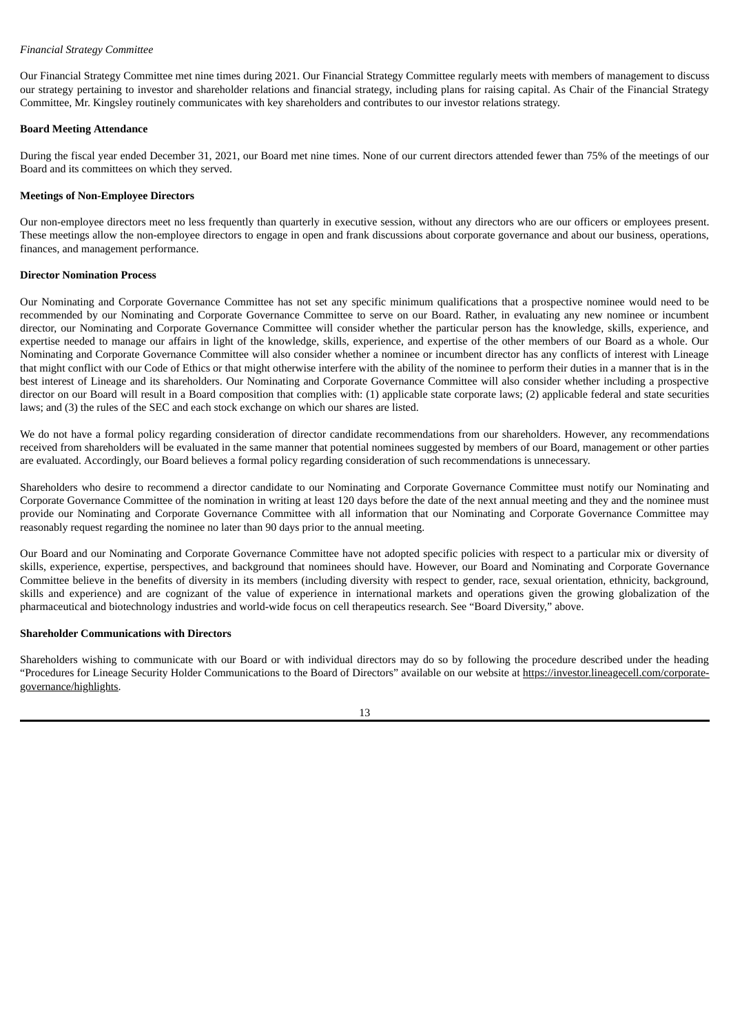## *Financial Strategy Committee*

Our Financial Strategy Committee met nine times during 2021. Our Financial Strategy Committee regularly meets with members of management to discuss our strategy pertaining to investor and shareholder relations and financial strategy, including plans for raising capital. As Chair of the Financial Strategy Committee, Mr. Kingsley routinely communicates with key shareholders and contributes to our investor relations strategy.

## **Board Meeting Attendance**

During the fiscal year ended December 31, 2021, our Board met nine times. None of our current directors attended fewer than 75% of the meetings of our Board and its committees on which they served.

## **Meetings of Non-Employee Directors**

Our non-employee directors meet no less frequently than quarterly in executive session, without any directors who are our officers or employees present. These meetings allow the non-employee directors to engage in open and frank discussions about corporate governance and about our business, operations, finances, and management performance.

## **Director Nomination Process**

Our Nominating and Corporate Governance Committee has not set any specific minimum qualifications that a prospective nominee would need to be recommended by our Nominating and Corporate Governance Committee to serve on our Board. Rather, in evaluating any new nominee or incumbent director, our Nominating and Corporate Governance Committee will consider whether the particular person has the knowledge, skills, experience, and expertise needed to manage our affairs in light of the knowledge, skills, experience, and expertise of the other members of our Board as a whole. Our Nominating and Corporate Governance Committee will also consider whether a nominee or incumbent director has any conflicts of interest with Lineage that might conflict with our Code of Ethics or that might otherwise interfere with the ability of the nominee to perform their duties in a manner that is in the best interest of Lineage and its shareholders. Our Nominating and Corporate Governance Committee will also consider whether including a prospective director on our Board will result in a Board composition that complies with: (1) applicable state corporate laws; (2) applicable federal and state securities laws; and (3) the rules of the SEC and each stock exchange on which our shares are listed.

We do not have a formal policy regarding consideration of director candidate recommendations from our shareholders. However, any recommendations received from shareholders will be evaluated in the same manner that potential nominees suggested by members of our Board, management or other parties are evaluated. Accordingly, our Board believes a formal policy regarding consideration of such recommendations is unnecessary.

Shareholders who desire to recommend a director candidate to our Nominating and Corporate Governance Committee must notify our Nominating and Corporate Governance Committee of the nomination in writing at least 120 days before the date of the next annual meeting and they and the nominee must provide our Nominating and Corporate Governance Committee with all information that our Nominating and Corporate Governance Committee may reasonably request regarding the nominee no later than 90 days prior to the annual meeting.

Our Board and our Nominating and Corporate Governance Committee have not adopted specific policies with respect to a particular mix or diversity of skills, experience, expertise, perspectives, and background that nominees should have. However, our Board and Nominating and Corporate Governance Committee believe in the benefits of diversity in its members (including diversity with respect to gender, race, sexual orientation, ethnicity, background, skills and experience) and are cognizant of the value of experience in international markets and operations given the growing globalization of the pharmaceutical and biotechnology industries and world-wide focus on cell therapeutics research. See "Board Diversity," above.

## **Shareholder Communications with Directors**

Shareholders wishing to communicate with our Board or with individual directors may do so by following the procedure described under the heading "Procedures for Lineage Security Holder Communications to the Board of Directors" available on our website at https://investor.lineagecell.com/corporategovernance/highlights.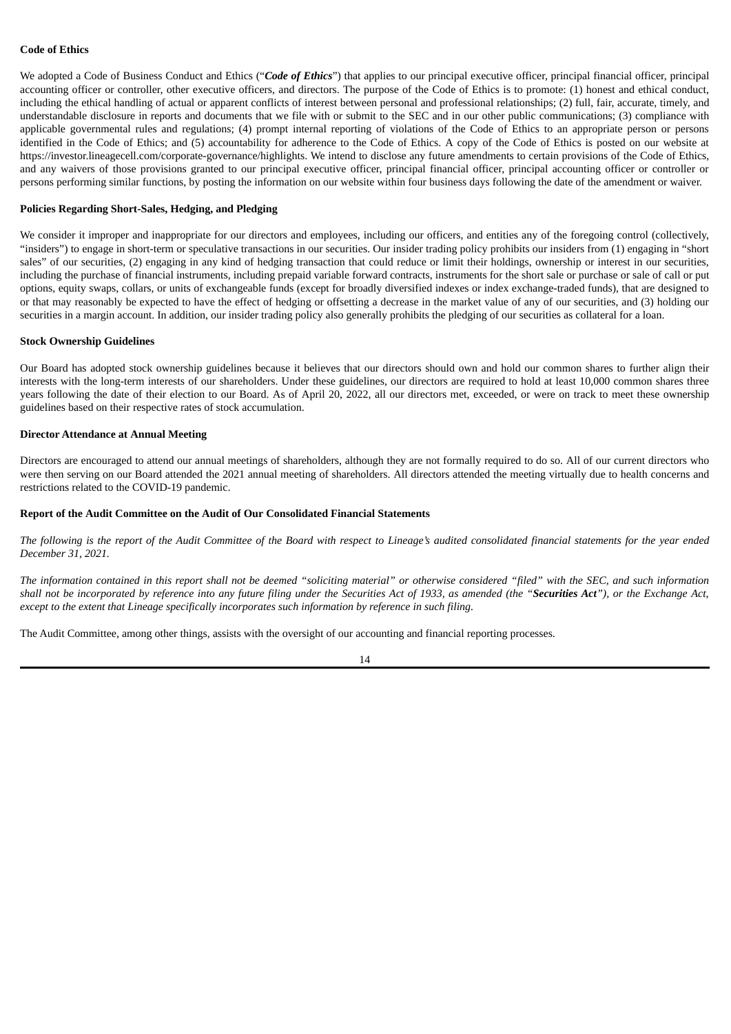## **Code of Ethics**

We adopted a Code of Business Conduct and Ethics ("Code of Ethics") that applies to our principal executive officer, principal financial officer, principal accounting officer or controller, other executive officers, and directors. The purpose of the Code of Ethics is to promote: (1) honest and ethical conduct, including the ethical handling of actual or apparent conflicts of interest between personal and professional relationships; (2) full, fair, accurate, timely, and understandable disclosure in reports and documents that we file with or submit to the SEC and in our other public communications; (3) compliance with applicable governmental rules and regulations; (4) prompt internal reporting of violations of the Code of Ethics to an appropriate person or persons identified in the Code of Ethics; and (5) accountability for adherence to the Code of Ethics. A copy of the Code of Ethics is posted on our website at https://investor.lineagecell.com/corporate-governance/highlights. We intend to disclose any future amendments to certain provisions of the Code of Ethics, and any waivers of those provisions granted to our principal executive officer, principal financial officer, principal accounting officer or controller or persons performing similar functions, by posting the information on our website within four business days following the date of the amendment or waiver.

#### **Policies Regarding Short-Sales, Hedging, and Pledging**

We consider it improper and inappropriate for our directors and employees, including our officers, and entities any of the foregoing control (collectively, "insiders") to engage in short-term or speculative transactions in our securities. Our insider trading policy prohibits our insiders from (1) engaging in "short sales" of our securities, (2) engaging in any kind of hedging transaction that could reduce or limit their holdings, ownership or interest in our securities, including the purchase of financial instruments, including prepaid variable forward contracts, instruments for the short sale or purchase or sale of call or put options, equity swaps, collars, or units of exchangeable funds (except for broadly diversified indexes or index exchange-traded funds), that are designed to or that may reasonably be expected to have the effect of hedging or offsetting a decrease in the market value of any of our securities, and (3) holding our securities in a margin account. In addition, our insider trading policy also generally prohibits the pledging of our securities as collateral for a loan.

#### **Stock Ownership Guidelines**

Our Board has adopted stock ownership guidelines because it believes that our directors should own and hold our common shares to further align their interests with the long-term interests of our shareholders. Under these guidelines, our directors are required to hold at least 10,000 common shares three years following the date of their election to our Board. As of April 20, 2022, all our directors met, exceeded, or were on track to meet these ownership guidelines based on their respective rates of stock accumulation.

## **Director Attendance at Annual Meeting**

Directors are encouraged to attend our annual meetings of shareholders, although they are not formally required to do so. All of our current directors who were then serving on our Board attended the 2021 annual meeting of shareholders. All directors attended the meeting virtually due to health concerns and restrictions related to the COVID-19 pandemic.

#### **Report of the Audit Committee on the Audit of Our Consolidated Financial Statements**

The following is the report of the Audit Committee of the Board with respect to Lineage's audited consolidated financial statements for the year ended *December 31, 2021.*

The information contained in this report shall not be deemed "soliciting material" or otherwise considered "filed" with the SEC, and such information shall not be incorporated by reference into any future filing under the Securities Act of 1933, as amended (the "Securities Act"), or the Exchange Act, *except to the extent that Lineage specifically incorporates such information by reference in such filing.*

The Audit Committee, among other things, assists with the oversight of our accounting and financial reporting processes.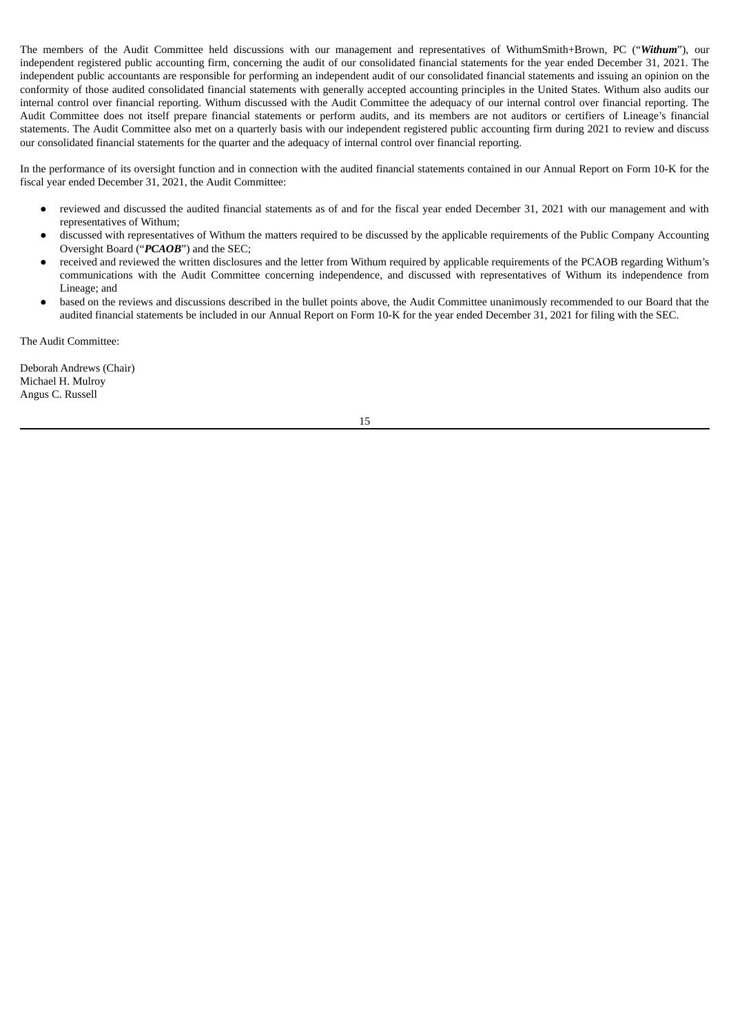The members of the Audit Committee held discussions with our management and representatives of WithumSmith+Brown, PC ("*Withum*"), our independent registered public accounting firm, concerning the audit of our consolidated financial statements for the year ended December 31, 2021. The independent public accountants are responsible for performing an independent audit of our consolidated financial statements and issuing an opinion on the conformity of those audited consolidated financial statements with generally accepted accounting principles in the United States. Withum also audits our internal control over financial reporting. Withum discussed with the Audit Committee the adequacy of our internal control over financial reporting. The Audit Committee does not itself prepare financial statements or perform audits, and its members are not auditors or certifiers of Lineage's financial statements. The Audit Committee also met on a quarterly basis with our independent registered public accounting firm during 2021 to review and discuss our consolidated financial statements for the quarter and the adequacy of internal control over financial reporting.

In the performance of its oversight function and in connection with the audited financial statements contained in our Annual Report on Form 10-K for the fiscal year ended December 31, 2021, the Audit Committee:

- reviewed and discussed the audited financial statements as of and for the fiscal year ended December 31, 2021 with our management and with representatives of Withum;
- discussed with representatives of Withum the matters required to be discussed by the applicable requirements of the Public Company Accounting Oversight Board ("*PCAOB*") and the SEC;
- received and reviewed the written disclosures and the letter from Withum required by applicable requirements of the PCAOB regarding Withum's communications with the Audit Committee concerning independence, and discussed with representatives of Withum its independence from Lineage; and
- based on the reviews and discussions described in the bullet points above, the Audit Committee unanimously recommended to our Board that the audited financial statements be included in our Annual Report on Form 10-K for the year ended December 31, 2021 for filing with the SEC.

The Audit Committee:

Deborah Andrews (Chair) Michael H. Mulroy Angus C. Russell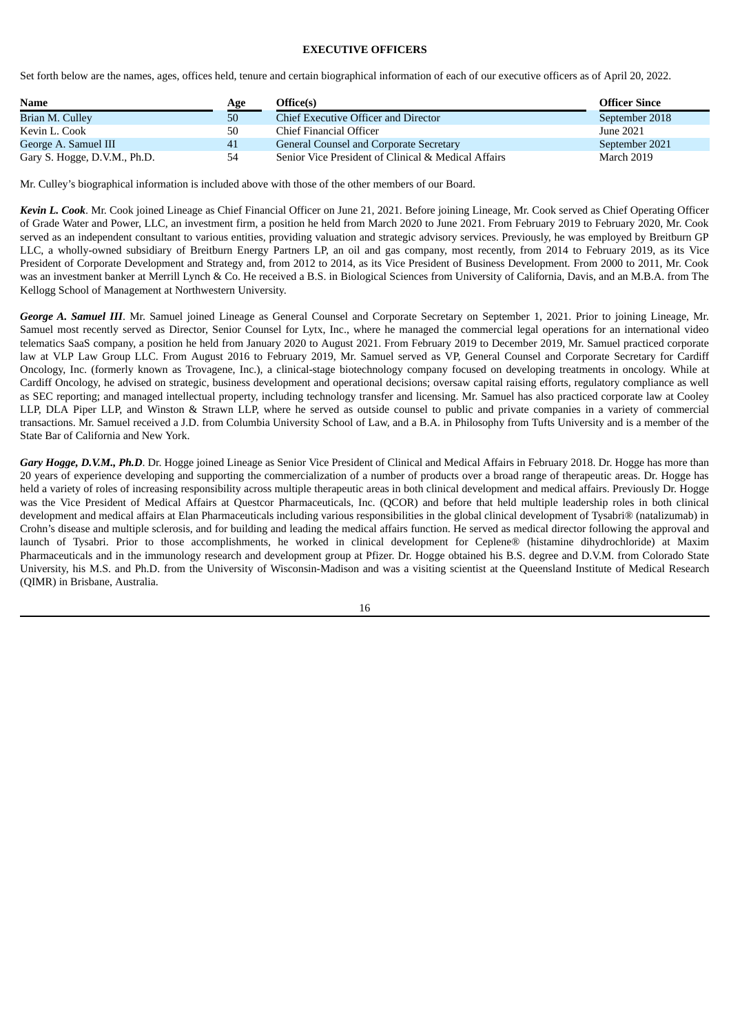## **EXECUTIVE OFFICERS**

Set forth below are the names, ages, offices held, tenure and certain biographical information of each of our executive officers as of April 20, 2022.

| <b>Name</b>                  | Age | Office(s)                                           | <b>Officer Since</b> |
|------------------------------|-----|-----------------------------------------------------|----------------------|
| Brian M. Culley              | 50  | Chief Executive Officer and Director                | September 2018       |
| Kevin L. Cook                | 50  | Chief Financial Officer                             | June 2021            |
| George A. Samuel III         | 41  | General Counsel and Corporate Secretary             | September 2021       |
| Gary S. Hogge, D.V.M., Ph.D. | 54  | Senior Vice President of Clinical & Medical Affairs | March 2019           |

Mr. Culley's biographical information is included above with those of the other members of our Board.

*Kevin L. Cook*. Mr. Cook joined Lineage as Chief Financial Officer on June 21, 2021. Before joining Lineage, Mr. Cook served as Chief Operating Officer of Grade Water and Power, LLC, an investment firm, a position he held from March 2020 to June 2021. From February 2019 to February 2020, Mr. Cook served as an independent consultant to various entities, providing valuation and strategic advisory services. Previously, he was employed by Breitburn GP LLC, a wholly-owned subsidiary of Breitburn Energy Partners LP, an oil and gas company, most recently, from 2014 to February 2019, as its Vice President of Corporate Development and Strategy and, from 2012 to 2014, as its Vice President of Business Development. From 2000 to 2011, Mr. Cook was an investment banker at Merrill Lynch & Co. He received a B.S. in Biological Sciences from University of California, Davis, and an M.B.A. from The Kellogg School of Management at Northwestern University.

*George A. Samuel III*. Mr. Samuel joined Lineage as General Counsel and Corporate Secretary on September 1, 2021. Prior to joining Lineage, Mr. Samuel most recently served as Director, Senior Counsel for Lytx, Inc., where he managed the commercial legal operations for an international video telematics SaaS company, a position he held from January 2020 to August 2021. From February 2019 to December 2019, Mr. Samuel practiced corporate law at VLP Law Group LLC. From August 2016 to February 2019, Mr. Samuel served as VP, General Counsel and Corporate Secretary for Cardiff Oncology, Inc. (formerly known as Trovagene, Inc.), a clinical-stage biotechnology company focused on developing treatments in oncology. While at Cardiff Oncology, he advised on strategic, business development and operational decisions; oversaw capital raising efforts, regulatory compliance as well as SEC reporting; and managed intellectual property, including technology transfer and licensing. Mr. Samuel has also practiced corporate law at Cooley LLP, DLA Piper LLP, and Winston & Strawn LLP, where he served as outside counsel to public and private companies in a variety of commercial transactions. Mr. Samuel received a J.D. from Columbia University School of Law, and a B.A. in Philosophy from Tufts University and is a member of the State Bar of California and New York.

*Gary Hogge, D.V.M., Ph.D*. Dr. Hogge joined Lineage as Senior Vice President of Clinical and Medical Affairs in February 2018. Dr. Hogge has more than 20 years of experience developing and supporting the commercialization of a number of products over a broad range of therapeutic areas. Dr. Hogge has held a variety of roles of increasing responsibility across multiple therapeutic areas in both clinical development and medical affairs. Previously Dr. Hogge was the Vice President of Medical Affairs at Questcor Pharmaceuticals, Inc. (QCOR) and before that held multiple leadership roles in both clinical development and medical affairs at Elan Pharmaceuticals including various responsibilities in the global clinical development of Tysabri® (natalizumab) in Crohn's disease and multiple sclerosis, and for building and leading the medical affairs function. He served as medical director following the approval and launch of Tysabri. Prior to those accomplishments, he worked in clinical development for Ceplene® (histamine dihydrochloride) at Maxim Pharmaceuticals and in the immunology research and development group at Pfizer. Dr. Hogge obtained his B.S. degree and D.V.M. from Colorado State University, his M.S. and Ph.D. from the University of Wisconsin-Madison and was a visiting scientist at the Queensland Institute of Medical Research (QIMR) in Brisbane, Australia.

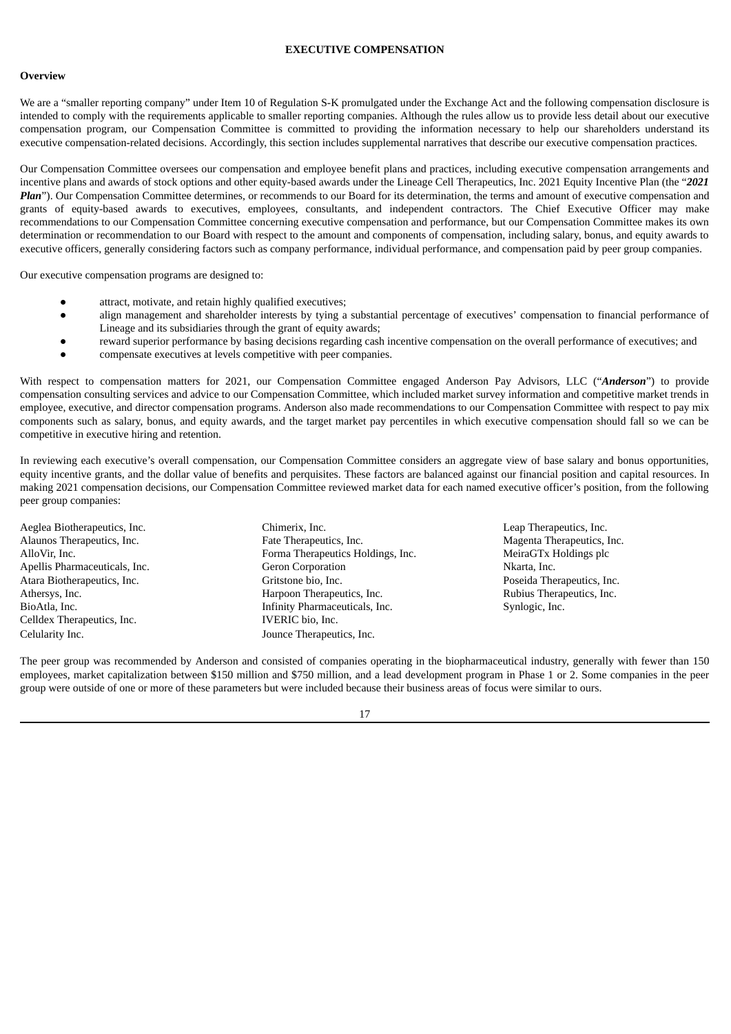## **EXECUTIVE COMPENSATION**

#### **Overview**

We are a "smaller reporting company" under Item 10 of Regulation S-K promulgated under the Exchange Act and the following compensation disclosure is intended to comply with the requirements applicable to smaller reporting companies. Although the rules allow us to provide less detail about our executive compensation program, our Compensation Committee is committed to providing the information necessary to help our shareholders understand its executive compensation-related decisions. Accordingly, this section includes supplemental narratives that describe our executive compensation practices.

Our Compensation Committee oversees our compensation and employee benefit plans and practices, including executive compensation arrangements and incentive plans and awards of stock options and other equity-based awards under the Lineage Cell Therapeutics, Inc. 2021 Equity Incentive Plan (the "*2021 Plan*"). Our Compensation Committee determines, or recommends to our Board for its determination, the terms and amount of executive compensation and grants of equity-based awards to executives, employees, consultants, and independent contractors. The Chief Executive Officer may make recommendations to our Compensation Committee concerning executive compensation and performance, but our Compensation Committee makes its own determination or recommendation to our Board with respect to the amount and components of compensation, including salary, bonus, and equity awards to executive officers, generally considering factors such as company performance, individual performance, and compensation paid by peer group companies.

Our executive compensation programs are designed to:

- attract, motivate, and retain highly qualified executives;
- align management and shareholder interests by tying a substantial percentage of executives' compensation to financial performance of Lineage and its subsidiaries through the grant of equity awards;
- reward superior performance by basing decisions regarding cash incentive compensation on the overall performance of executives; and
- compensate executives at levels competitive with peer companies.

With respect to compensation matters for 2021, our Compensation Committee engaged Anderson Pay Advisors, LLC ("*Anderson*") to provide compensation consulting services and advice to our Compensation Committee, which included market survey information and competitive market trends in employee, executive, and director compensation programs. Anderson also made recommendations to our Compensation Committee with respect to pay mix components such as salary, bonus, and equity awards, and the target market pay percentiles in which executive compensation should fall so we can be competitive in executive hiring and retention.

In reviewing each executive's overall compensation, our Compensation Committee considers an aggregate view of base salary and bonus opportunities, equity incentive grants, and the dollar value of benefits and perquisites. These factors are balanced against our financial position and capital resources. In making 2021 compensation decisions, our Compensation Committee reviewed market data for each named executive officer's position, from the following peer group companies:

Celldex Therapeutics, Inc. **IVERIC** bio, Inc. Celularity Inc. Jounce Therapeutics, Inc.

- Aeglea Biotherapeutics, Inc. Chimerix, Inc. Leap Therapeutics, Inc. Alaunos Therapeutics, Inc. Fate Therapeutics, Inc. Magenta Therapeutics, Inc. AlloVir, Inc. **Forma Therapeutics Holdings, Inc.** MeiraGTx Holdings plc Apellis Pharmaceuticals, Inc. Geron Corporation Nkarta, Inc. Atara Biotherapeutics, Inc. Gritstone bio, Inc. Poseida Therapeutics, Inc. Athersys, Inc. **Harpoon Therapeutics, Inc.** Rubius Therapeutics, Inc. Rubius Therapeutics, Inc. BioAtla, Inc. Infinity Pharmaceuticals, Inc. Synlogic, Inc.
- 

The peer group was recommended by Anderson and consisted of companies operating in the biopharmaceutical industry, generally with fewer than 150 employees, market capitalization between \$150 million and \$750 million, and a lead development program in Phase 1 or 2. Some companies in the peer group were outside of one or more of these parameters but were included because their business areas of focus were similar to ours.

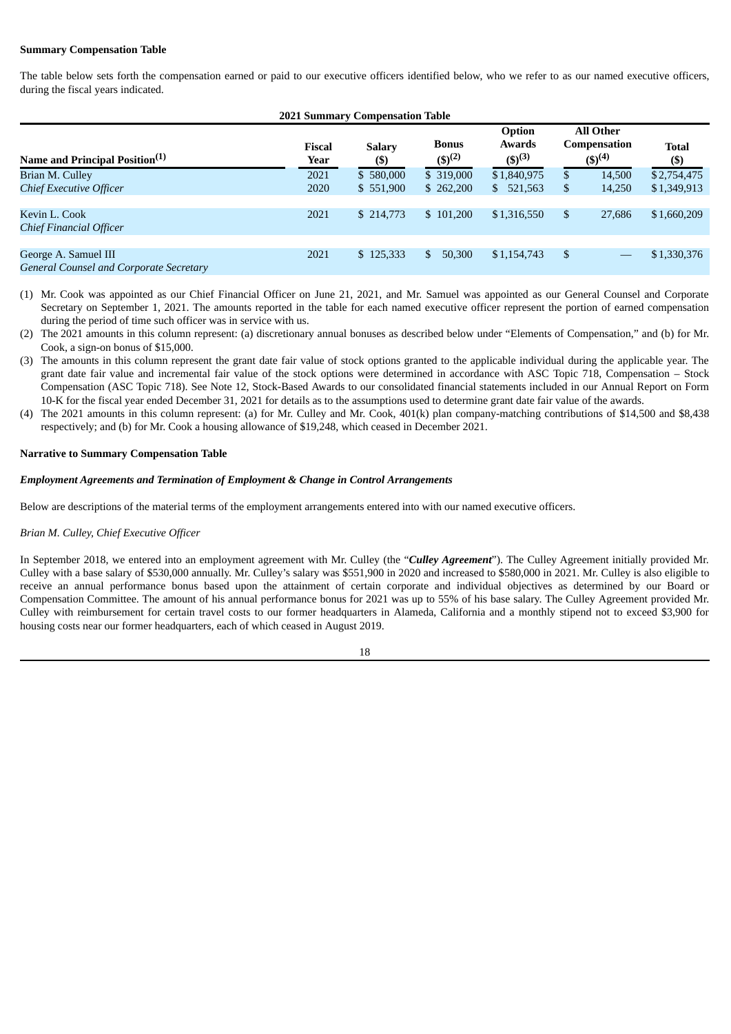## **Summary Compensation Table**

The table below sets forth the compensation earned or paid to our executive officers identified below, who we refer to as our named executive officers, during the fiscal years indicated.

| <b>2021 Summary Compensation Table</b>                                 |                       |                                  |                             |                                        |                |                                                        |                            |  |
|------------------------------------------------------------------------|-----------------------|----------------------------------|-----------------------------|----------------------------------------|----------------|--------------------------------------------------------|----------------------------|--|
| Name and Principal Position <sup>(1)</sup>                             | <b>Fiscal</b><br>Year | <b>Salary</b><br>$(\$\mathbf{)}$ | <b>Bonus</b><br>$(5)^{(2)}$ | Option<br><b>Awards</b><br>$(5)^{(3)}$ |                | <b>All Other</b><br><b>Compensation</b><br>$(5)^{(4)}$ | Total<br>$(\$\mathbf{)}$   |  |
| Brian M. Culley<br><b>Chief Executive Officer</b>                      | 2021<br>2020          | \$580,000<br>\$551,900           | \$ 319,000<br>\$262,200     | \$1,840,975<br>\$521,563               | \$<br>\$       | 14,500<br>14,250                                       | \$2,754,475<br>\$1,349,913 |  |
| Kevin L. Cook<br><b>Chief Financial Officer</b>                        | 2021                  | \$214,773                        | \$101,200                   | \$1,316,550                            | $\mathfrak{L}$ | 27,686                                                 | \$1,660,209                |  |
| George A. Samuel III<br><b>General Counsel and Corporate Secretary</b> | 2021                  | \$125,333                        | 50,300<br>\$                | \$1,154,743                            | \$             |                                                        | \$1,330,376                |  |

- (1) Mr. Cook was appointed as our Chief Financial Officer on June 21, 2021, and Mr. Samuel was appointed as our General Counsel and Corporate Secretary on September 1, 2021. The amounts reported in the table for each named executive officer represent the portion of earned compensation during the period of time such officer was in service with us.
- (2) The 2021 amounts in this column represent: (a) discretionary annual bonuses as described below under "Elements of Compensation," and (b) for Mr. Cook, a sign-on bonus of \$15,000.
- (3) The amounts in this column represent the grant date fair value of stock options granted to the applicable individual during the applicable year. The grant date fair value and incremental fair value of the stock options were determined in accordance with ASC Topic 718, Compensation – Stock Compensation (ASC Topic 718). See Note 12, Stock-Based Awards to our consolidated financial statements included in our Annual Report on Form 10-K for the fiscal year ended December 31, 2021 for details as to the assumptions used to determine grant date fair value of the awards.
- (4) The 2021 amounts in this column represent: (a) for Mr. Culley and Mr. Cook, 401(k) plan company-matching contributions of \$14,500 and \$8,438 respectively; and (b) for Mr. Cook a housing allowance of \$19,248, which ceased in December 2021.

#### **Narrative to Summary Compensation Table**

## *Employment Agreements and Termination of Employment & Change in Control Arrangements*

Below are descriptions of the material terms of the employment arrangements entered into with our named executive officers.

## *Brian M. Culley, Chief Executive Officer*

In September 2018, we entered into an employment agreement with Mr. Culley (the "*Culley Agreement*"). The Culley Agreement initially provided Mr. Culley with a base salary of \$530,000 annually. Mr. Culley's salary was \$551,900 in 2020 and increased to \$580,000 in 2021. Mr. Culley is also eligible to receive an annual performance bonus based upon the attainment of certain corporate and individual objectives as determined by our Board or Compensation Committee. The amount of his annual performance bonus for 2021 was up to 55% of his base salary. The Culley Agreement provided Mr. Culley with reimbursement for certain travel costs to our former headquarters in Alameda, California and a monthly stipend not to exceed \$3,900 for housing costs near our former headquarters, each of which ceased in August 2019.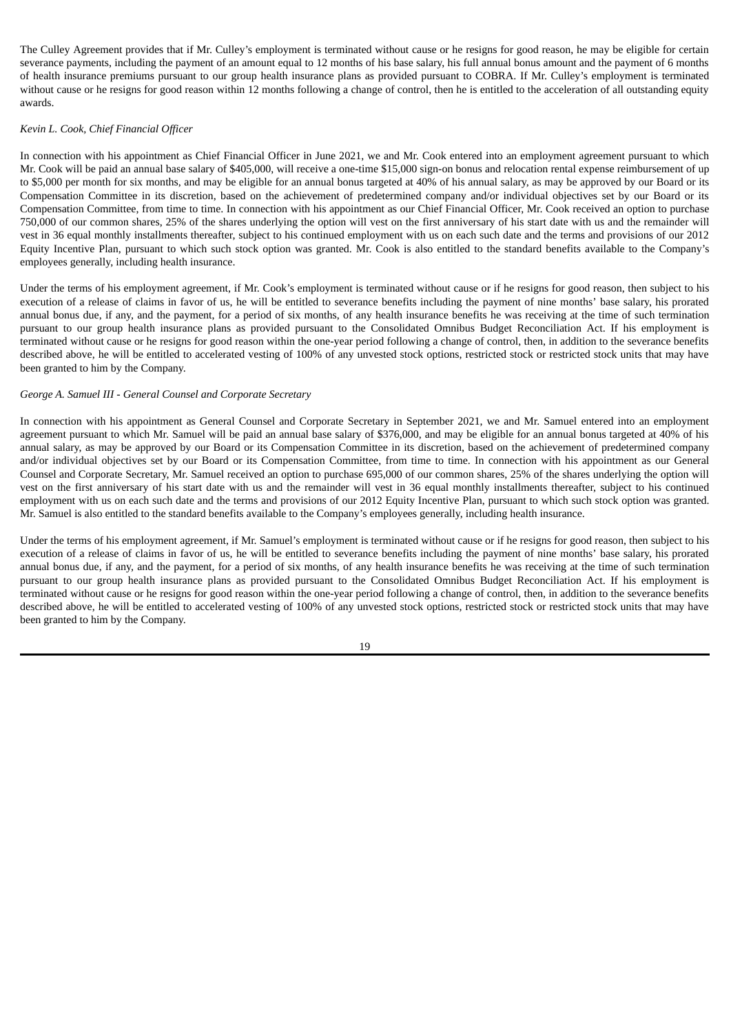The Culley Agreement provides that if Mr. Culley's employment is terminated without cause or he resigns for good reason, he may be eligible for certain severance payments, including the payment of an amount equal to 12 months of his base salary, his full annual bonus amount and the payment of 6 months of health insurance premiums pursuant to our group health insurance plans as provided pursuant to COBRA. If Mr. Culley's employment is terminated without cause or he resigns for good reason within 12 months following a change of control, then he is entitled to the acceleration of all outstanding equity awards.

### *Kevin L. Cook, Chief Financial Officer*

In connection with his appointment as Chief Financial Officer in June 2021, we and Mr. Cook entered into an employment agreement pursuant to which Mr. Cook will be paid an annual base salary of \$405,000, will receive a one-time \$15,000 sign-on bonus and relocation rental expense reimbursement of up to \$5,000 per month for six months, and may be eligible for an annual bonus targeted at 40% of his annual salary, as may be approved by our Board or its Compensation Committee in its discretion, based on the achievement of predetermined company and/or individual objectives set by our Board or its Compensation Committee, from time to time. In connection with his appointment as our Chief Financial Officer, Mr. Cook received an option to purchase 750,000 of our common shares, 25% of the shares underlying the option will vest on the first anniversary of his start date with us and the remainder will vest in 36 equal monthly installments thereafter, subject to his continued employment with us on each such date and the terms and provisions of our 2012 Equity Incentive Plan, pursuant to which such stock option was granted. Mr. Cook is also entitled to the standard benefits available to the Company's employees generally, including health insurance.

Under the terms of his employment agreement, if Mr. Cook's employment is terminated without cause or if he resigns for good reason, then subject to his execution of a release of claims in favor of us, he will be entitled to severance benefits including the payment of nine months' base salary, his prorated annual bonus due, if any, and the payment, for a period of six months, of any health insurance benefits he was receiving at the time of such termination pursuant to our group health insurance plans as provided pursuant to the Consolidated Omnibus Budget Reconciliation Act. If his employment is terminated without cause or he resigns for good reason within the one-year period following a change of control, then, in addition to the severance benefits described above, he will be entitled to accelerated vesting of 100% of any unvested stock options, restricted stock or restricted stock units that may have been granted to him by the Company.

#### *George A. Samuel III - General Counsel and Corporate Secretary*

In connection with his appointment as General Counsel and Corporate Secretary in September 2021, we and Mr. Samuel entered into an employment agreement pursuant to which Mr. Samuel will be paid an annual base salary of \$376,000, and may be eligible for an annual bonus targeted at 40% of his annual salary, as may be approved by our Board or its Compensation Committee in its discretion, based on the achievement of predetermined company and/or individual objectives set by our Board or its Compensation Committee, from time to time. In connection with his appointment as our General Counsel and Corporate Secretary, Mr. Samuel received an option to purchase 695,000 of our common shares, 25% of the shares underlying the option will vest on the first anniversary of his start date with us and the remainder will vest in 36 equal monthly installments thereafter, subject to his continued employment with us on each such date and the terms and provisions of our 2012 Equity Incentive Plan, pursuant to which such stock option was granted. Mr. Samuel is also entitled to the standard benefits available to the Company's employees generally, including health insurance.

Under the terms of his employment agreement, if Mr. Samuel's employment is terminated without cause or if he resigns for good reason, then subject to his execution of a release of claims in favor of us, he will be entitled to severance benefits including the payment of nine months' base salary, his prorated annual bonus due, if any, and the payment, for a period of six months, of any health insurance benefits he was receiving at the time of such termination pursuant to our group health insurance plans as provided pursuant to the Consolidated Omnibus Budget Reconciliation Act. If his employment is terminated without cause or he resigns for good reason within the one-year period following a change of control, then, in addition to the severance benefits described above, he will be entitled to accelerated vesting of 100% of any unvested stock options, restricted stock or restricted stock units that may have been granted to him by the Company.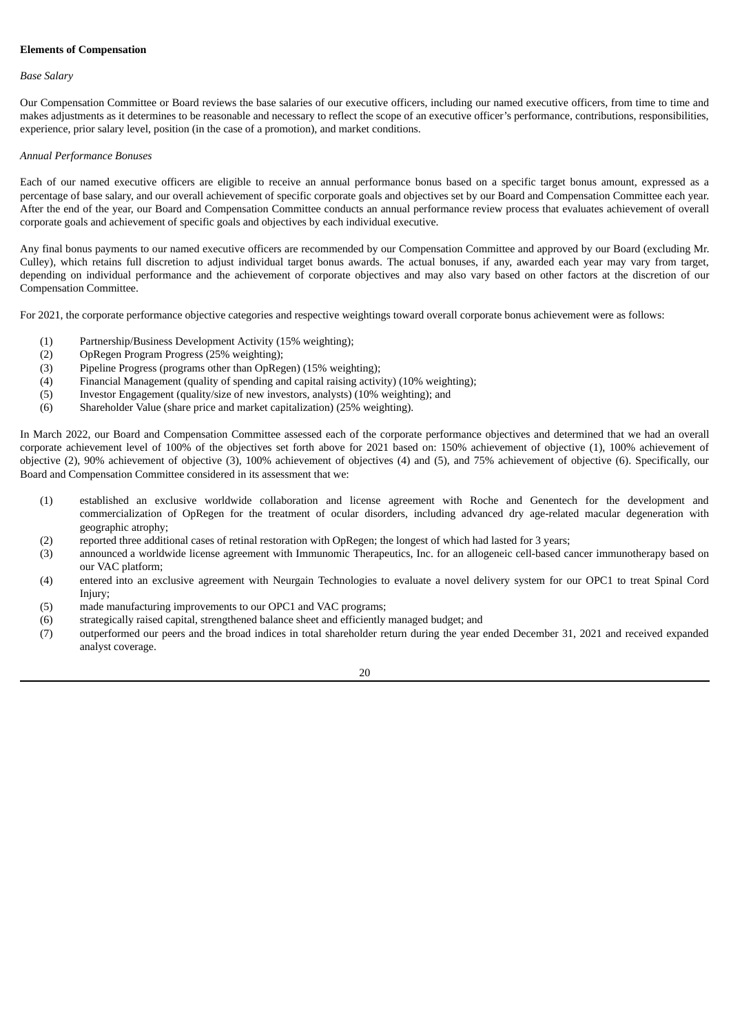## **Elements of Compensation**

### *Base Salary*

Our Compensation Committee or Board reviews the base salaries of our executive officers, including our named executive officers, from time to time and makes adjustments as it determines to be reasonable and necessary to reflect the scope of an executive officer's performance, contributions, responsibilities, experience, prior salary level, position (in the case of a promotion), and market conditions.

## *Annual Performance Bonuses*

Each of our named executive officers are eligible to receive an annual performance bonus based on a specific target bonus amount, expressed as a percentage of base salary, and our overall achievement of specific corporate goals and objectives set by our Board and Compensation Committee each year. After the end of the year, our Board and Compensation Committee conducts an annual performance review process that evaluates achievement of overall corporate goals and achievement of specific goals and objectives by each individual executive.

Any final bonus payments to our named executive officers are recommended by our Compensation Committee and approved by our Board (excluding Mr. Culley), which retains full discretion to adjust individual target bonus awards. The actual bonuses, if any, awarded each year may vary from target, depending on individual performance and the achievement of corporate objectives and may also vary based on other factors at the discretion of our Compensation Committee.

For 2021, the corporate performance objective categories and respective weightings toward overall corporate bonus achievement were as follows:

- (1) Partnership/Business Development Activity (15% weighting);
- (2) OpRegen Program Progress (25% weighting);
- (3) Pipeline Progress (programs other than OpRegen) (15% weighting);
- (4) Financial Management (quality of spending and capital raising activity) (10% weighting);
- (5) Investor Engagement (quality/size of new investors, analysts) (10% weighting); and
- (6) Shareholder Value (share price and market capitalization) (25% weighting).

In March 2022, our Board and Compensation Committee assessed each of the corporate performance objectives and determined that we had an overall corporate achievement level of 100% of the objectives set forth above for 2021 based on: 150% achievement of objective (1), 100% achievement of objective (2), 90% achievement of objective (3), 100% achievement of objectives (4) and (5), and 75% achievement of objective (6). Specifically, our Board and Compensation Committee considered in its assessment that we:

- (1) established an exclusive worldwide collaboration and license agreement with Roche and Genentech for the development and commercialization of OpRegen for the treatment of ocular disorders, including advanced dry age-related macular degeneration with geographic atrophy;
- (2) reported three additional cases of retinal restoration with OpRegen; the longest of which had lasted for 3 years;
- (3) announced a worldwide license agreement with Immunomic Therapeutics, Inc. for an allogeneic cell-based cancer immunotherapy based on our VAC platform;
- (4) entered into an exclusive agreement with Neurgain Technologies to evaluate a novel delivery system for our OPC1 to treat Spinal Cord Injury;
- (5) made manufacturing improvements to our OPC1 and VAC programs;
- (6) strategically raised capital, strengthened balance sheet and efficiently managed budget; and
- (7) outperformed our peers and the broad indices in total shareholder return during the year ended December 31, 2021 and received expanded analyst coverage.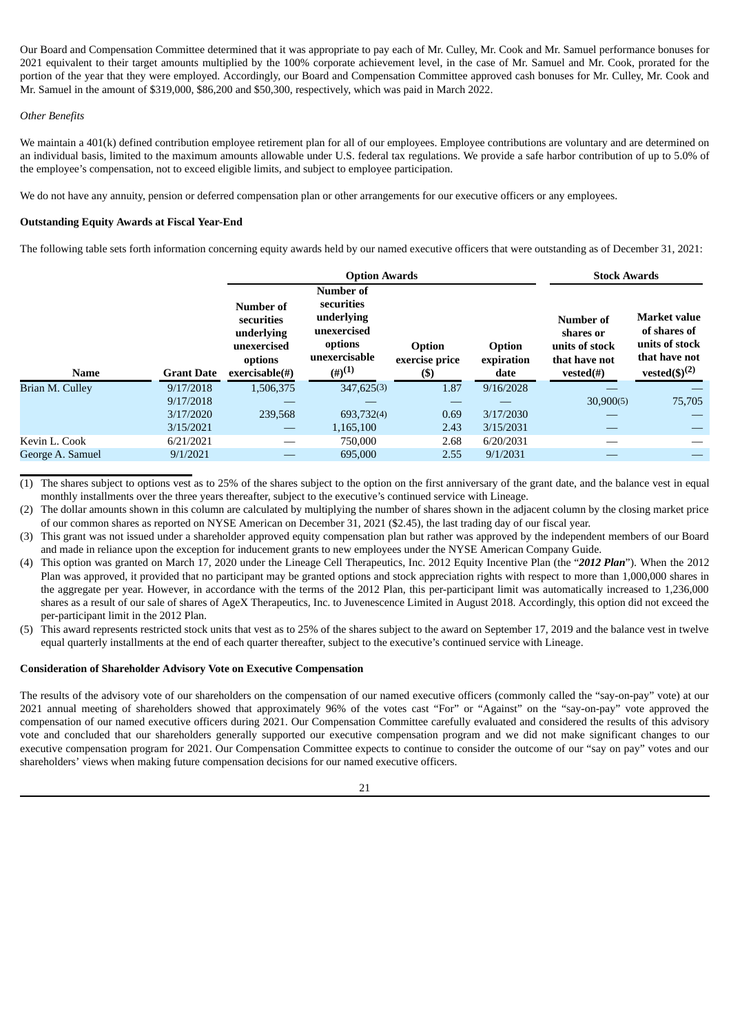Our Board and Compensation Committee determined that it was appropriate to pay each of Mr. Culley, Mr. Cook and Mr. Samuel performance bonuses for 2021 equivalent to their target amounts multiplied by the 100% corporate achievement level, in the case of Mr. Samuel and Mr. Cook, prorated for the portion of the year that they were employed. Accordingly, our Board and Compensation Committee approved cash bonuses for Mr. Culley, Mr. Cook and Mr. Samuel in the amount of \$319,000, \$86,200 and \$50,300, respectively, which was paid in March 2022.

## *Other Benefits*

We maintain a 401(k) defined contribution employee retirement plan for all of our employees. Employee contributions are voluntary and are determined on an individual basis, limited to the maximum amounts allowable under U.S. federal tax regulations. We provide a safe harbor contribution of up to 5.0% of the employee's compensation, not to exceed eligible limits, and subject to employee participation.

We do not have any annuity, pension or deferred compensation plan or other arrangements for our executive officers or any employees.

## **Outstanding Equity Awards at Fiscal Year-End**

The following table sets forth information concerning equity awards held by our named executive officers that were outstanding as of December 31, 2021:

|                  |                   |                                                                                      | <b>Option Awards</b>                                                                                     |                                  |                              | <b>Stock Awards</b>                                                    |                                                                        |
|------------------|-------------------|--------------------------------------------------------------------------------------|----------------------------------------------------------------------------------------------------------|----------------------------------|------------------------------|------------------------------------------------------------------------|------------------------------------------------------------------------|
| <b>Name</b>      | <b>Grant Date</b> | Number of<br>securities<br>underlying<br>unexercised<br>options<br>$exercisable(\#)$ | Number of<br>securities<br>underlying<br>unexercised<br>options<br>unexercisable<br>$(4)$ <sup>(1)</sup> | Option<br>exercise price<br>(\$) | Option<br>expiration<br>date | Number of<br>shares or<br>units of stock<br>that have not<br>vested(#) | <b>Market value</b><br>of shares of<br>units of stock<br>that have not |
| Brian M. Culley  | 9/17/2018         | 1,506,375                                                                            | 347,625(3)                                                                                               | 1.87                             | 9/16/2028                    |                                                                        |                                                                        |
|                  | 9/17/2018         |                                                                                      |                                                                                                          |                                  |                              | 30,900(5)                                                              | 75,705                                                                 |
|                  | 3/17/2020         | 239,568                                                                              | 693,732(4)                                                                                               | 0.69                             | 3/17/2030                    |                                                                        |                                                                        |
|                  | 3/15/2021         |                                                                                      | 1,165,100                                                                                                | 2.43                             | 3/15/2031                    |                                                                        |                                                                        |
| Kevin L. Cook    | 6/21/2021         |                                                                                      | 750,000                                                                                                  | 2.68                             | 6/20/2031                    |                                                                        |                                                                        |
|                  | 9/1/2021          |                                                                                      | 695,000                                                                                                  | 2.55                             | 9/1/2031                     |                                                                        |                                                                        |
| George A. Samuel |                   |                                                                                      |                                                                                                          |                                  |                              |                                                                        | vested $(\text{\$})^{(2)}$                                             |

(1) The shares subject to options vest as to 25% of the shares subject to the option on the first anniversary of the grant date, and the balance vest in equal monthly installments over the three years thereafter, subject to the executive's continued service with Lineage.

The dollar amounts shown in this column are calculated by multiplying the number of shares shown in the adjacent column by the closing market price of our common shares as reported on NYSE American on December 31, 2021 (\$2.45), the last trading day of our fiscal year.

(3) This grant was not issued under a shareholder approved equity compensation plan but rather was approved by the independent members of our Board and made in reliance upon the exception for inducement grants to new employees under the NYSE American Company Guide.

- (4) This option was granted on March 17, 2020 under the Lineage Cell Therapeutics, Inc. 2012 Equity Incentive Plan (the "*2012 Plan*"). When the 2012 Plan was approved, it provided that no participant may be granted options and stock appreciation rights with respect to more than 1,000,000 shares in the aggregate per year. However, in accordance with the terms of the 2012 Plan, this per-participant limit was automatically increased to 1,236,000 shares as a result of our sale of shares of AgeX Therapeutics, Inc. to Juvenescence Limited in August 2018. Accordingly, this option did not exceed the per-participant limit in the 2012 Plan.
- (5) This award represents restricted stock units that vest as to 25% of the shares subject to the award on September 17, 2019 and the balance vest in twelve equal quarterly installments at the end of each quarter thereafter, subject to the executive's continued service with Lineage.

## **Consideration of Shareholder Advisory Vote on Executive Compensation**

The results of the advisory vote of our shareholders on the compensation of our named executive officers (commonly called the "say-on-pay" vote) at our 2021 annual meeting of shareholders showed that approximately 96% of the votes cast "For" or "Against" on the "say-on-pay" vote approved the compensation of our named executive officers during 2021. Our Compensation Committee carefully evaluated and considered the results of this advisory vote and concluded that our shareholders generally supported our executive compensation program and we did not make significant changes to our executive compensation program for 2021. Our Compensation Committee expects to continue to consider the outcome of our "say on pay" votes and our shareholders' views when making future compensation decisions for our named executive officers.

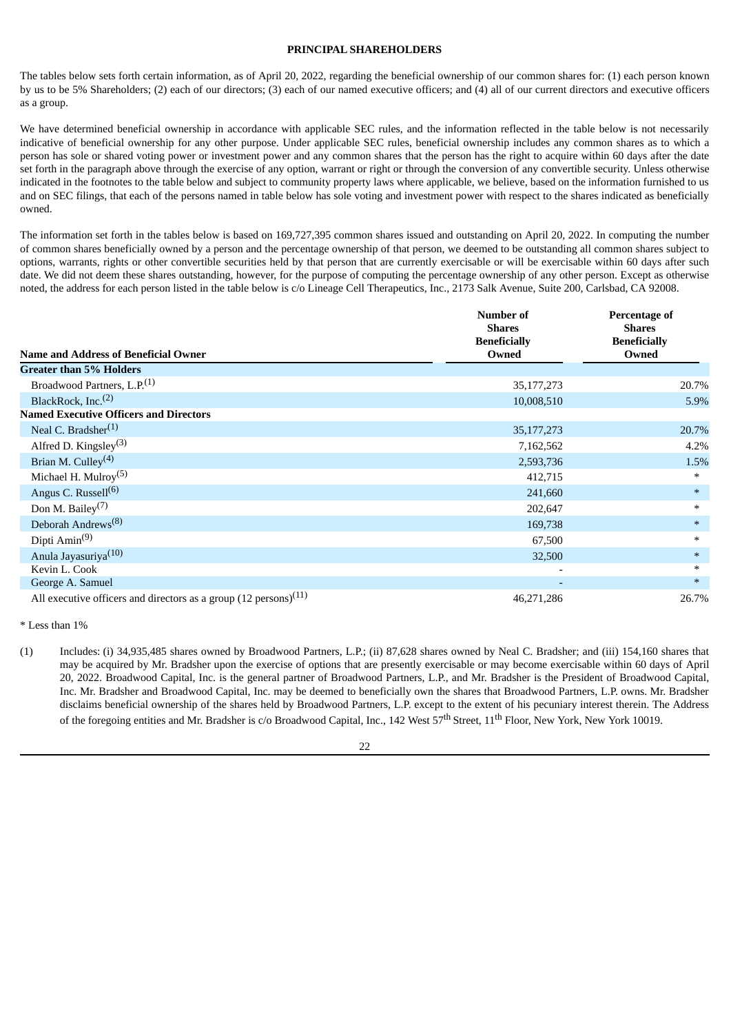## **PRINCIPAL SHAREHOLDERS**

The tables below sets forth certain information, as of April 20, 2022, regarding the beneficial ownership of our common shares for: (1) each person known by us to be 5% Shareholders; (2) each of our directors; (3) each of our named executive officers; and (4) all of our current directors and executive officers as a group.

We have determined beneficial ownership in accordance with applicable SEC rules, and the information reflected in the table below is not necessarily indicative of beneficial ownership for any other purpose. Under applicable SEC rules, beneficial ownership includes any common shares as to which a person has sole or shared voting power or investment power and any common shares that the person has the right to acquire within 60 days after the date set forth in the paragraph above through the exercise of any option, warrant or right or through the conversion of any convertible security. Unless otherwise indicated in the footnotes to the table below and subject to community property laws where applicable, we believe, based on the information furnished to us and on SEC filings, that each of the persons named in table below has sole voting and investment power with respect to the shares indicated as beneficially owned.

The information set forth in the tables below is based on 169,727,395 common shares issued and outstanding on April 20, 2022. In computing the number of common shares beneficially owned by a person and the percentage ownership of that person, we deemed to be outstanding all common shares subject to options, warrants, rights or other convertible securities held by that person that are currently exercisable or will be exercisable within 60 days after such date. We did not deem these shares outstanding, however, for the purpose of computing the percentage ownership of any other person. Except as otherwise noted, the address for each person listed in the table below is c/o Lineage Cell Therapeutics, Inc., 2173 Salk Avenue, Suite 200, Carlsbad, CA 92008.

|                                                                               | <b>Number of</b><br><b>Shares</b><br><b>Beneficially</b> | <b>Percentage of</b><br><b>Shares</b><br><b>Beneficially</b> |
|-------------------------------------------------------------------------------|----------------------------------------------------------|--------------------------------------------------------------|
| <b>Name and Address of Beneficial Owner</b>                                   | Owned                                                    | Owned                                                        |
| <b>Greater than 5% Holders</b>                                                |                                                          |                                                              |
| Broadwood Partners, L.P. <sup>(1)</sup>                                       | 35, 177, 273                                             | 20.7%                                                        |
| BlackRock, Inc. <sup>(2)</sup>                                                | 10,008,510                                               | 5.9%                                                         |
| <b>Named Executive Officers and Directors</b>                                 |                                                          |                                                              |
| Neal C. Bradsher <sup>(1)</sup>                                               | 35, 177, 273                                             | 20.7%                                                        |
| Alfred D. Kingsley <sup>(3)</sup>                                             | 7,162,562                                                | 4.2%                                                         |
| Brian M. Culley <sup>(4)</sup>                                                | 2,593,736                                                | 1.5%                                                         |
| Michael H. Mulroy $(5)$                                                       | 412,715                                                  | $\ast$                                                       |
| Angus C. Russell <sup>(6)</sup>                                               | 241,660                                                  | $\ast$                                                       |
| Don M. Bailey $(7)$                                                           | 202,647                                                  | $\ast$                                                       |
| Deborah Andrews <sup>(8)</sup>                                                | 169,738                                                  | $\ast$                                                       |
| Dipti $Amin(9)$                                                               | 67,500                                                   | $\ast$                                                       |
| Anula Jayasuriya <sup>(10)</sup>                                              | 32,500                                                   | $\ast$                                                       |
| Kevin L. Cook                                                                 | $\overline{\phantom{0}}$                                 | $\ast$                                                       |
| George A. Samuel                                                              | $\overline{\phantom{a}}$                                 | $\ast$                                                       |
| All executive officers and directors as a group $(12 \text{ persons})$ $(11)$ | 46,271,286                                               | 26.7%                                                        |

\* Less than 1%

(1) Includes: (i) 34,935,485 shares owned by Broadwood Partners, L.P.; (ii) 87,628 shares owned by Neal C. Bradsher; and (iii) 154,160 shares that may be acquired by Mr. Bradsher upon the exercise of options that are presently exercisable or may become exercisable within 60 days of April 20, 2022. Broadwood Capital, Inc. is the general partner of Broadwood Partners, L.P., and Mr. Bradsher is the President of Broadwood Capital, Inc. Mr. Bradsher and Broadwood Capital, Inc. may be deemed to beneficially own the shares that Broadwood Partners, L.P. owns. Mr. Bradsher disclaims beneficial ownership of the shares held by Broadwood Partners, L.P. except to the extent of his pecuniary interest therein. The Address of the foregoing entities and Mr. Bradsher is c/o Broadwood Capital, Inc., 142 West 57<sup>th</sup> Street, 11<sup>th</sup> Floor, New York, New York 10019.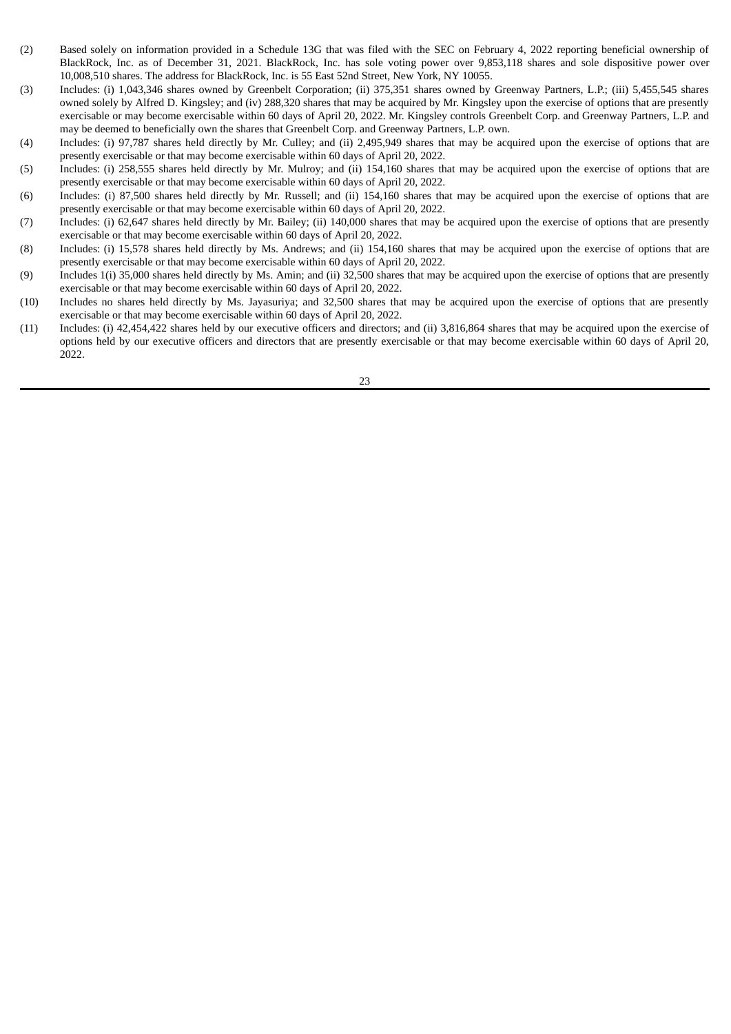- (2) Based solely on information provided in a Schedule 13G that was filed with the SEC on February 4, 2022 reporting beneficial ownership of BlackRock, Inc. as of December 31, 2021. BlackRock, Inc. has sole voting power over 9,853,118 shares and sole dispositive power over 10,008,510 shares. The address for BlackRock, Inc. is 55 East 52nd Street, New York, NY 10055.
- (3) Includes: (i) 1,043,346 shares owned by Greenbelt Corporation; (ii) 375,351 shares owned by Greenway Partners, L.P.; (iii) 5,455,545 shares owned solely by Alfred D. Kingsley; and (iv) 288,320 shares that may be acquired by Mr. Kingsley upon the exercise of options that are presently exercisable or may become exercisable within 60 days of April 20, 2022. Mr. Kingsley controls Greenbelt Corp. and Greenway Partners, L.P. and may be deemed to beneficially own the shares that Greenbelt Corp. and Greenway Partners, L.P. own.
- (4) Includes: (i) 97,787 shares held directly by Mr. Culley; and (ii) 2,495,949 shares that may be acquired upon the exercise of options that are presently exercisable or that may become exercisable within 60 days of April 20, 2022.
- (5) Includes: (i) 258,555 shares held directly by Mr. Mulroy; and (ii) 154,160 shares that may be acquired upon the exercise of options that are presently exercisable or that may become exercisable within 60 days of April 20, 2022.
- (6) Includes: (i) 87,500 shares held directly by Mr. Russell; and (ii) 154,160 shares that may be acquired upon the exercise of options that are presently exercisable or that may become exercisable within 60 days of April 20, 2022.
- (7) Includes: (i) 62,647 shares held directly by Mr. Bailey; (ii) 140,000 shares that may be acquired upon the exercise of options that are presently exercisable or that may become exercisable within 60 days of April 20, 2022.
- (8) Includes: (i) 15,578 shares held directly by Ms. Andrews; and (ii) 154,160 shares that may be acquired upon the exercise of options that are presently exercisable or that may become exercisable within 60 days of April 20, 2022.
- (9) Includes 1(i) 35,000 shares held directly by Ms. Amin; and (ii) 32,500 shares that may be acquired upon the exercise of options that are presently exercisable or that may become exercisable within 60 days of April 20, 2022.
- (10) Includes no shares held directly by Ms. Jayasuriya; and 32,500 shares that may be acquired upon the exercise of options that are presently exercisable or that may become exercisable within 60 days of April 20, 2022.
- (11) Includes: (i) 42,454,422 shares held by our executive officers and directors; and (ii) 3,816,864 shares that may be acquired upon the exercise of options held by our executive officers and directors that are presently exercisable or that may become exercisable within 60 days of April 20, 2022.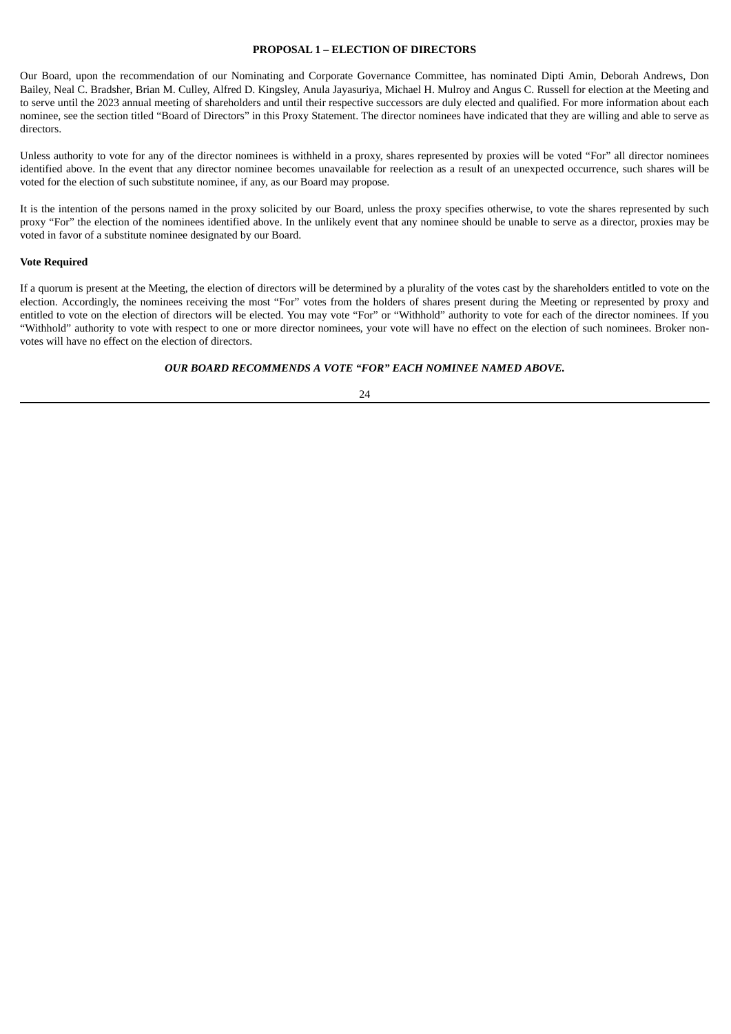## **PROPOSAL 1 – ELECTION OF DIRECTORS**

Our Board, upon the recommendation of our Nominating and Corporate Governance Committee, has nominated Dipti Amin, Deborah Andrews, Don Bailey, Neal C. Bradsher, Brian M. Culley, Alfred D. Kingsley, Anula Jayasuriya, Michael H. Mulroy and Angus C. Russell for election at the Meeting and to serve until the 2023 annual meeting of shareholders and until their respective successors are duly elected and qualified. For more information about each nominee, see the section titled "Board of Directors" in this Proxy Statement. The director nominees have indicated that they are willing and able to serve as directors.

Unless authority to vote for any of the director nominees is withheld in a proxy, shares represented by proxies will be voted "For" all director nominees identified above. In the event that any director nominee becomes unavailable for reelection as a result of an unexpected occurrence, such shares will be voted for the election of such substitute nominee, if any, as our Board may propose.

It is the intention of the persons named in the proxy solicited by our Board, unless the proxy specifies otherwise, to vote the shares represented by such proxy "For" the election of the nominees identified above. In the unlikely event that any nominee should be unable to serve as a director, proxies may be voted in favor of a substitute nominee designated by our Board.

## **Vote Required**

If a quorum is present at the Meeting, the election of directors will be determined by a plurality of the votes cast by the shareholders entitled to vote on the election. Accordingly, the nominees receiving the most "For" votes from the holders of shares present during the Meeting or represented by proxy and entitled to vote on the election of directors will be elected. You may vote "For" or "Withhold" authority to vote for each of the director nominees. If you "Withhold" authority to vote with respect to one or more director nominees, your vote will have no effect on the election of such nominees. Broker nonvotes will have no effect on the election of directors.

#### *OUR BOARD RECOMMENDS A VOTE "FOR" EACH NOMINEE NAMED ABOVE.*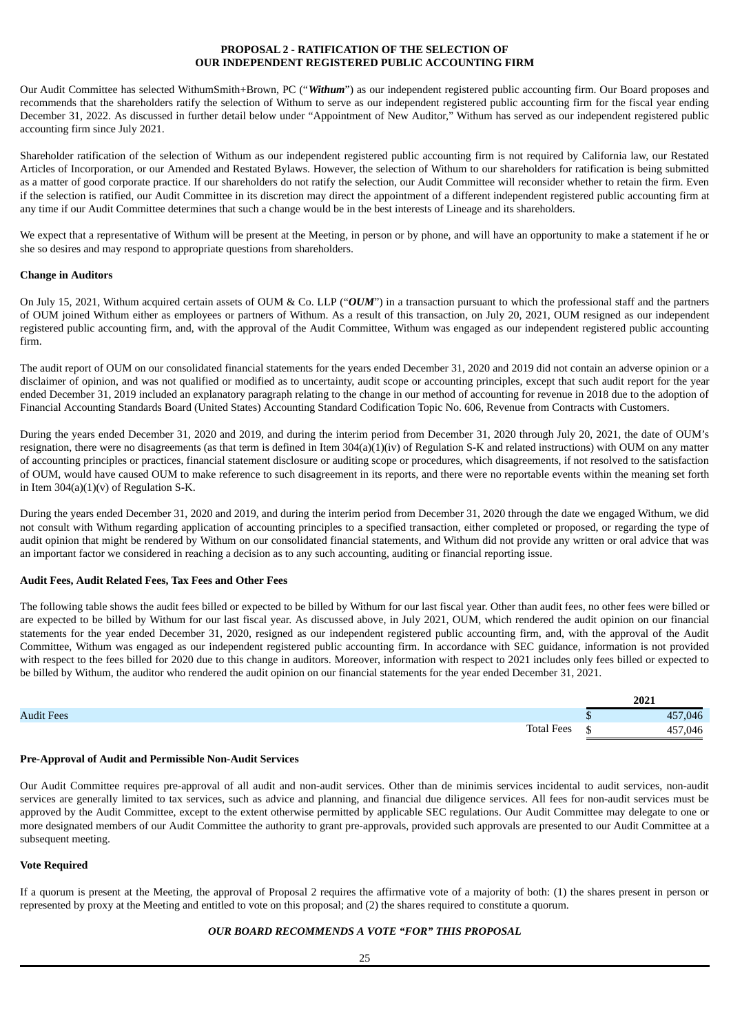## **PROPOSAL 2 - RATIFICATION OF THE SELECTION OF OUR INDEPENDENT REGISTERED PUBLIC ACCOUNTING FIRM**

Our Audit Committee has selected WithumSmith+Brown, PC ("*Withum*") as our independent registered public accounting firm. Our Board proposes and recommends that the shareholders ratify the selection of Withum to serve as our independent registered public accounting firm for the fiscal year ending December 31, 2022. As discussed in further detail below under "Appointment of New Auditor," Withum has served as our independent registered public accounting firm since July 2021.

Shareholder ratification of the selection of Withum as our independent registered public accounting firm is not required by California law, our Restated Articles of Incorporation, or our Amended and Restated Bylaws. However, the selection of Withum to our shareholders for ratification is being submitted as a matter of good corporate practice. If our shareholders do not ratify the selection, our Audit Committee will reconsider whether to retain the firm. Even if the selection is ratified, our Audit Committee in its discretion may direct the appointment of a different independent registered public accounting firm at any time if our Audit Committee determines that such a change would be in the best interests of Lineage and its shareholders.

We expect that a representative of Withum will be present at the Meeting, in person or by phone, and will have an opportunity to make a statement if he or she so desires and may respond to appropriate questions from shareholders.

## **Change in Auditors**

On July 15, 2021, Withum acquired certain assets of OUM & Co. LLP ("*OUM*") in a transaction pursuant to which the professional staff and the partners of OUM joined Withum either as employees or partners of Withum. As a result of this transaction, on July 20, 2021, OUM resigned as our independent registered public accounting firm, and, with the approval of the Audit Committee, Withum was engaged as our independent registered public accounting firm.

The audit report of OUM on our consolidated financial statements for the years ended December 31, 2020 and 2019 did not contain an adverse opinion or a disclaimer of opinion, and was not qualified or modified as to uncertainty, audit scope or accounting principles, except that such audit report for the year ended December 31, 2019 included an explanatory paragraph relating to the change in our method of accounting for revenue in 2018 due to the adoption of Financial Accounting Standards Board (United States) Accounting Standard Codification Topic No. 606, Revenue from Contracts with Customers.

During the years ended December 31, 2020 and 2019, and during the interim period from December 31, 2020 through July 20, 2021, the date of OUM's resignation, there were no disagreements (as that term is defined in Item 304(a)(1)(iv) of Regulation S-K and related instructions) with OUM on any matter of accounting principles or practices, financial statement disclosure or auditing scope or procedures, which disagreements, if not resolved to the satisfaction of OUM, would have caused OUM to make reference to such disagreement in its reports, and there were no reportable events within the meaning set forth in Item  $304(a)(1)(v)$  of Regulation S-K.

During the years ended December 31, 2020 and 2019, and during the interim period from December 31, 2020 through the date we engaged Withum, we did not consult with Withum regarding application of accounting principles to a specified transaction, either completed or proposed, or regarding the type of audit opinion that might be rendered by Withum on our consolidated financial statements, and Withum did not provide any written or oral advice that was an important factor we considered in reaching a decision as to any such accounting, auditing or financial reporting issue.

## **Audit Fees, Audit Related Fees, Tax Fees and Other Fees**

The following table shows the audit fees billed or expected to be billed by Withum for our last fiscal year. Other than audit fees, no other fees were billed or are expected to be billed by Withum for our last fiscal year. As discussed above, in July 2021, OUM, which rendered the audit opinion on our financial statements for the year ended December 31, 2020, resigned as our independent registered public accounting firm, and, with the approval of the Audit Committee, Withum was engaged as our independent registered public accounting firm. In accordance with SEC guidance, information is not provided with respect to the fees billed for 2020 due to this change in auditors. Moreover, information with respect to 2021 includes only fees billed or expected to be billed by Withum, the auditor who rendered the audit opinion on our financial statements for the year ended December 31, 2021.

|                   |    | 2021    |
|-------------------|----|---------|
| <b>Audit Fees</b> |    | 457,046 |
| <b>Total Fees</b> | ٠D | 57,046  |

## **Pre-Approval of Audit and Permissible Non-Audit Services**

Our Audit Committee requires pre-approval of all audit and non-audit services. Other than de minimis services incidental to audit services, non-audit services are generally limited to tax services, such as advice and planning, and financial due diligence services. All fees for non-audit services must be approved by the Audit Committee, except to the extent otherwise permitted by applicable SEC regulations. Our Audit Committee may delegate to one or more designated members of our Audit Committee the authority to grant pre-approvals, provided such approvals are presented to our Audit Committee at a subsequent meeting.

## **Vote Required**

If a quorum is present at the Meeting, the approval of Proposal 2 requires the affirmative vote of a majority of both: (1) the shares present in person or represented by proxy at the Meeting and entitled to vote on this proposal; and (2) the shares required to constitute a quorum.

## *OUR BOARD RECOMMENDS A VOTE "FOR" THIS PROPOSAL*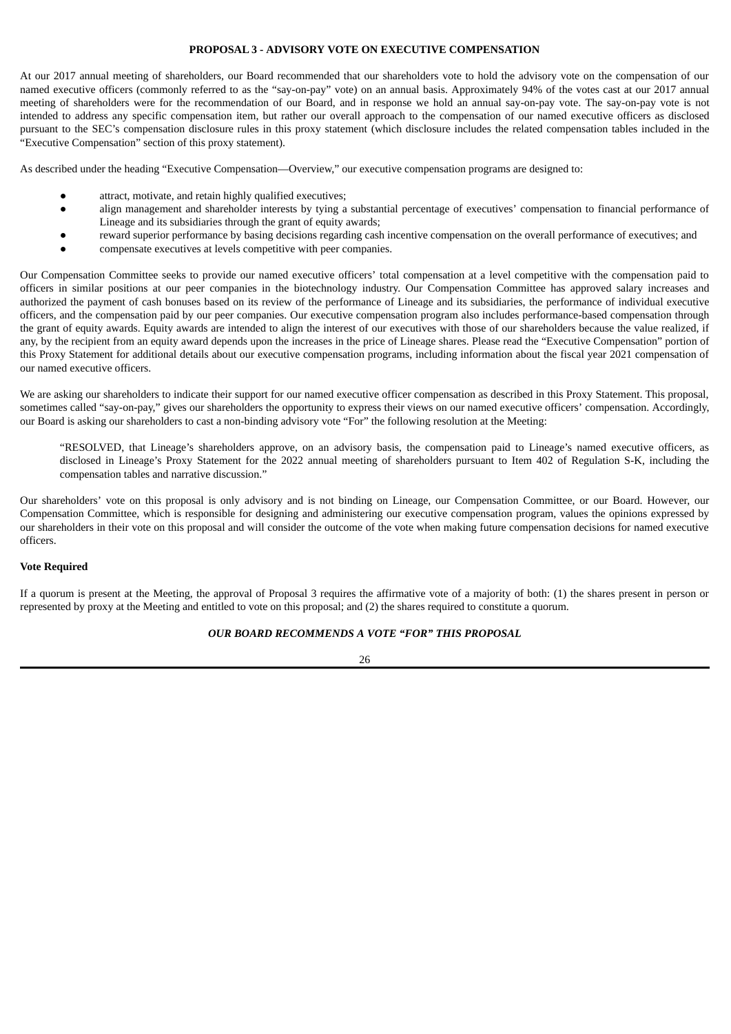## **PROPOSAL 3 - ADVISORY VOTE ON EXECUTIVE COMPENSATION**

At our 2017 annual meeting of shareholders, our Board recommended that our shareholders vote to hold the advisory vote on the compensation of our named executive officers (commonly referred to as the "say-on-pay" vote) on an annual basis. Approximately 94% of the votes cast at our 2017 annual meeting of shareholders were for the recommendation of our Board, and in response we hold an annual say-on-pay vote. The say-on-pay vote is not intended to address any specific compensation item, but rather our overall approach to the compensation of our named executive officers as disclosed pursuant to the SEC's compensation disclosure rules in this proxy statement (which disclosure includes the related compensation tables included in the "Executive Compensation" section of this proxy statement).

As described under the heading "Executive Compensation—Overview," our executive compensation programs are designed to:

- attract, motivate, and retain highly qualified executives;
- align management and shareholder interests by tying a substantial percentage of executives' compensation to financial performance of Lineage and its subsidiaries through the grant of equity awards;
- reward superior performance by basing decisions regarding cash incentive compensation on the overall performance of executives; and
- compensate executives at levels competitive with peer companies.

Our Compensation Committee seeks to provide our named executive officers' total compensation at a level competitive with the compensation paid to officers in similar positions at our peer companies in the biotechnology industry. Our Compensation Committee has approved salary increases and authorized the payment of cash bonuses based on its review of the performance of Lineage and its subsidiaries, the performance of individual executive officers, and the compensation paid by our peer companies. Our executive compensation program also includes performance-based compensation through the grant of equity awards. Equity awards are intended to align the interest of our executives with those of our shareholders because the value realized, if any, by the recipient from an equity award depends upon the increases in the price of Lineage shares. Please read the "Executive Compensation" portion of this Proxy Statement for additional details about our executive compensation programs, including information about the fiscal year 2021 compensation of our named executive officers.

We are asking our shareholders to indicate their support for our named executive officer compensation as described in this Proxy Statement. This proposal, sometimes called "say-on-pay," gives our shareholders the opportunity to express their views on our named executive officers' compensation. Accordingly, our Board is asking our shareholders to cast a non-binding advisory vote "For" the following resolution at the Meeting:

"RESOLVED, that Lineage's shareholders approve, on an advisory basis, the compensation paid to Lineage's named executive officers, as disclosed in Lineage's Proxy Statement for the 2022 annual meeting of shareholders pursuant to Item 402 of Regulation S-K, including the compensation tables and narrative discussion."

Our shareholders' vote on this proposal is only advisory and is not binding on Lineage, our Compensation Committee, or our Board. However, our Compensation Committee, which is responsible for designing and administering our executive compensation program, values the opinions expressed by our shareholders in their vote on this proposal and will consider the outcome of the vote when making future compensation decisions for named executive officers.

## **Vote Required**

If a quorum is present at the Meeting, the approval of Proposal 3 requires the affirmative vote of a majority of both: (1) the shares present in person or represented by proxy at the Meeting and entitled to vote on this proposal; and (2) the shares required to constitute a quorum.

## *OUR BOARD RECOMMENDS A VOTE "FOR" THIS PROPOSAL*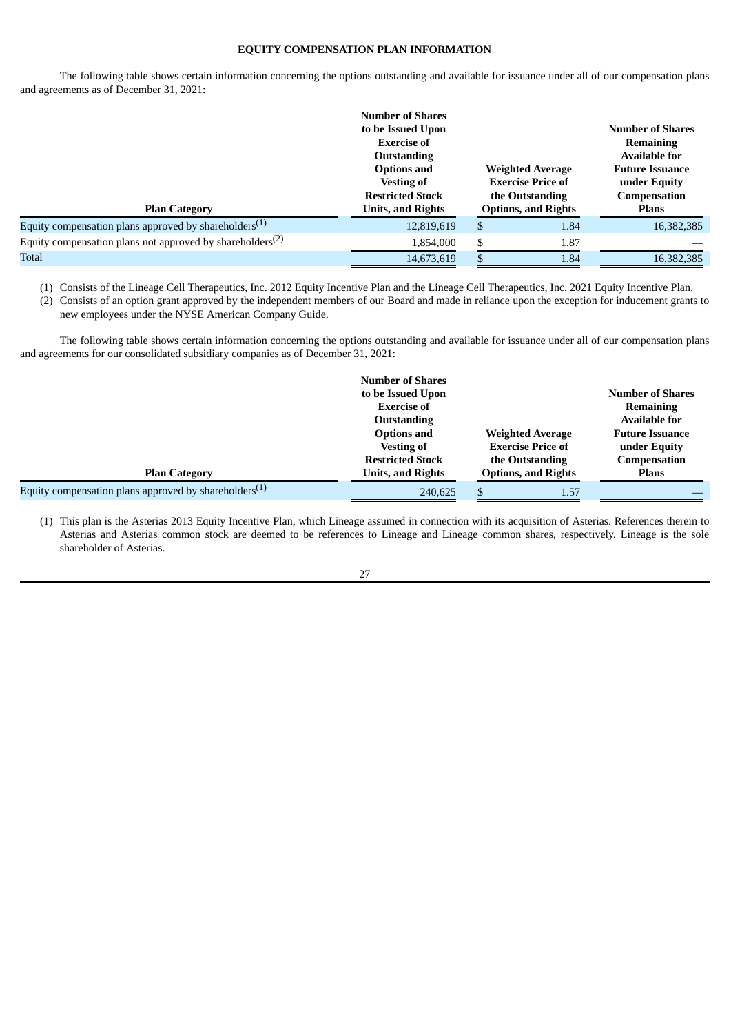## **EQUITY COMPENSATION PLAN INFORMATION**

The following table shows certain information concerning the options outstanding and available for issuance under all of our compensation plans and agreements as of December 31, 2021:

|                                                                   | <b>Number of Shares</b><br>to be Issued Upon<br><b>Exercise of</b><br><b>Outstanding</b><br><b>Options and</b><br><b>Vesting of</b> | <b>Weighted Average</b><br><b>Exercise Price of</b> |                                               | <b>Number of Shares</b><br><b>Remaining</b><br><b>Available for</b><br><b>Future Issuance</b><br>under Equity |
|-------------------------------------------------------------------|-------------------------------------------------------------------------------------------------------------------------------------|-----------------------------------------------------|-----------------------------------------------|---------------------------------------------------------------------------------------------------------------|
| <b>Plan Category</b>                                              | <b>Restricted Stock</b><br><b>Units, and Rights</b>                                                                                 |                                                     | the Outstanding<br><b>Options, and Rights</b> | Compensation<br><b>Plans</b>                                                                                  |
| Equity compensation plans approved by shareholders <sup>(1)</sup> | 12,819,619                                                                                                                          | \$                                                  | 1.84                                          | 16,382,385                                                                                                    |
| Equity compensation plans not approved by shareholders $(2)$      | 1,854,000                                                                                                                           | \$                                                  | 1.87                                          |                                                                                                               |
| Total                                                             | 14,673,619                                                                                                                          | \$                                                  | 1.84                                          | 16,382,385                                                                                                    |

(1) Consists of the Lineage Cell Therapeutics, Inc. 2012 Equity Incentive Plan and the Lineage Cell Therapeutics, Inc. 2021 Equity Incentive Plan.

(2) Consists of an option grant approved by the independent members of our Board and made in reliance upon the exception for inducement grants to new employees under the NYSE American Company Guide.

The following table shows certain information concerning the options outstanding and available for issuance under all of our compensation plans and agreements for our consolidated subsidiary companies as of December 31, 2021:

|                                                          | <b>Number of Shares</b>  |                            |                         |
|----------------------------------------------------------|--------------------------|----------------------------|-------------------------|
|                                                          | to be Issued Upon        |                            | <b>Number of Shares</b> |
|                                                          | <b>Exercise of</b>       |                            | Remaining               |
|                                                          | <b>Outstanding</b>       |                            | <b>Available for</b>    |
|                                                          | <b>Options and</b>       | <b>Weighted Average</b>    | <b>Future Issuance</b>  |
|                                                          | <b>Vesting of</b>        | <b>Exercise Price of</b>   | under Equity            |
|                                                          | <b>Restricted Stock</b>  | the Outstanding            | Compensation            |
| <b>Plan Category</b>                                     | <b>Units, and Rights</b> | <b>Options, and Rights</b> | <b>Plans</b>            |
| Equity compensation plans approved by shareholders $(1)$ | 240,625                  | 1.57<br>\$.                |                         |

(1) This plan is the Asterias 2013 Equity Incentive Plan, which Lineage assumed in connection with its acquisition of Asterias. References therein to Asterias and Asterias common stock are deemed to be references to Lineage and Lineage common shares, respectively. Lineage is the sole shareholder of Asterias.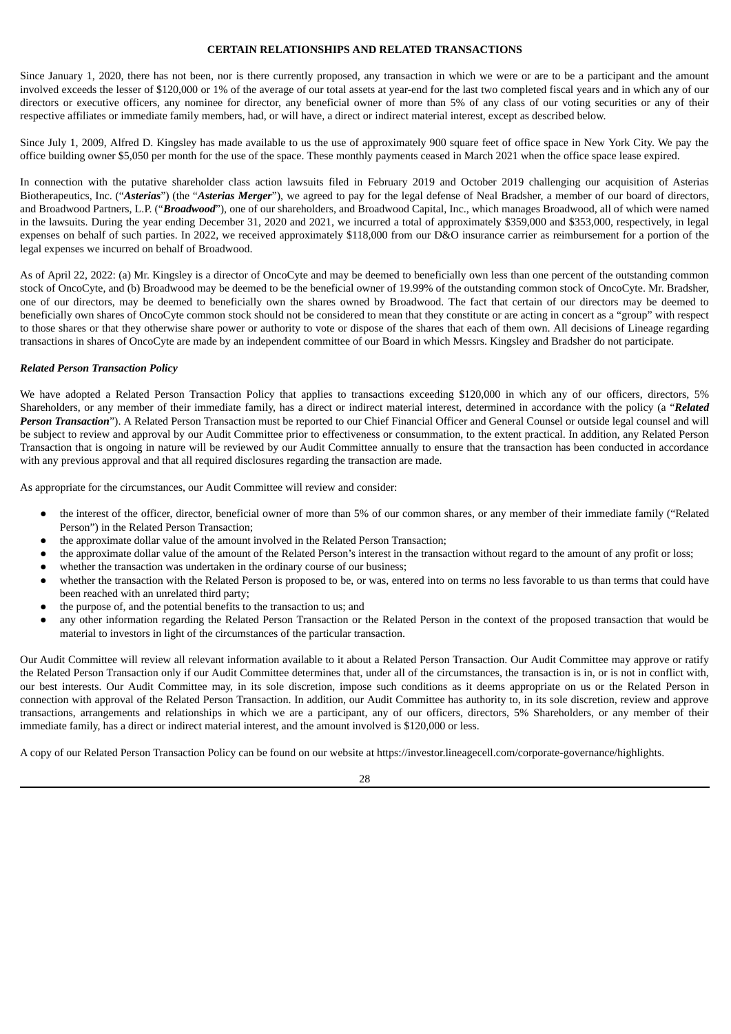## **CERTAIN RELATIONSHIPS AND RELATED TRANSACTIONS**

Since January 1, 2020, there has not been, nor is there currently proposed, any transaction in which we were or are to be a participant and the amount involved exceeds the lesser of \$120,000 or 1% of the average of our total assets at year-end for the last two completed fiscal years and in which any of our directors or executive officers, any nominee for director, any beneficial owner of more than 5% of any class of our voting securities or any of their respective affiliates or immediate family members, had, or will have, a direct or indirect material interest, except as described below.

Since July 1, 2009, Alfred D. Kingsley has made available to us the use of approximately 900 square feet of office space in New York City. We pay the office building owner \$5,050 per month for the use of the space. These monthly payments ceased in March 2021 when the office space lease expired.

In connection with the putative shareholder class action lawsuits filed in February 2019 and October 2019 challenging our acquisition of Asterias Biotherapeutics, Inc. ("*Asterias*") (the "*Asterias Merger*"), we agreed to pay for the legal defense of Neal Bradsher, a member of our board of directors, and Broadwood Partners, L.P. ("*Broadwood*"), one of our shareholders, and Broadwood Capital, Inc., which manages Broadwood, all of which were named in the lawsuits. During the year ending December 31, 2020 and 2021, we incurred a total of approximately \$359,000 and \$353,000, respectively, in legal expenses on behalf of such parties. In 2022, we received approximately \$118,000 from our D&O insurance carrier as reimbursement for a portion of the legal expenses we incurred on behalf of Broadwood.

As of April 22, 2022: (a) Mr. Kingsley is a director of OncoCyte and may be deemed to beneficially own less than one percent of the outstanding common stock of OncoCyte, and (b) Broadwood may be deemed to be the beneficial owner of 19.99% of the outstanding common stock of OncoCyte. Mr. Bradsher, one of our directors, may be deemed to beneficially own the shares owned by Broadwood. The fact that certain of our directors may be deemed to beneficially own shares of OncoCyte common stock should not be considered to mean that they constitute or are acting in concert as a "group" with respect to those shares or that they otherwise share power or authority to vote or dispose of the shares that each of them own. All decisions of Lineage regarding transactions in shares of OncoCyte are made by an independent committee of our Board in which Messrs. Kingsley and Bradsher do not participate.

#### *Related Person Transaction Policy*

We have adopted a Related Person Transaction Policy that applies to transactions exceeding \$120,000 in which any of our officers, directors, 5% Shareholders, or any member of their immediate family, has a direct or indirect material interest, determined in accordance with the policy (a "*Related Person Transaction*"). A Related Person Transaction must be reported to our Chief Financial Officer and General Counsel or outside legal counsel and will be subject to review and approval by our Audit Committee prior to effectiveness or consummation, to the extent practical. In addition, any Related Person Transaction that is ongoing in nature will be reviewed by our Audit Committee annually to ensure that the transaction has been conducted in accordance with any previous approval and that all required disclosures regarding the transaction are made.

As appropriate for the circumstances, our Audit Committee will review and consider:

- the interest of the officer, director, beneficial owner of more than 5% of our common shares, or any member of their immediate family ("Related Person") in the Related Person Transaction;
- the approximate dollar value of the amount involved in the Related Person Transaction;
- the approximate dollar value of the amount of the Related Person's interest in the transaction without regard to the amount of any profit or loss;
- whether the transaction was undertaken in the ordinary course of our business;
- whether the transaction with the Related Person is proposed to be, or was, entered into on terms no less favorable to us than terms that could have been reached with an unrelated third party;
- the purpose of, and the potential benefits to the transaction to us; and
- any other information regarding the Related Person Transaction or the Related Person in the context of the proposed transaction that would be material to investors in light of the circumstances of the particular transaction.

Our Audit Committee will review all relevant information available to it about a Related Person Transaction. Our Audit Committee may approve or ratify the Related Person Transaction only if our Audit Committee determines that, under all of the circumstances, the transaction is in, or is not in conflict with, our best interests. Our Audit Committee may, in its sole discretion, impose such conditions as it deems appropriate on us or the Related Person in connection with approval of the Related Person Transaction. In addition, our Audit Committee has authority to, in its sole discretion, review and approve transactions, arrangements and relationships in which we are a participant, any of our officers, directors, 5% Shareholders, or any member of their immediate family, has a direct or indirect material interest, and the amount involved is \$120,000 or less.

A copy of our Related Person Transaction Policy can be found on our website at https://investor.lineagecell.com/corporate-governance/highlights.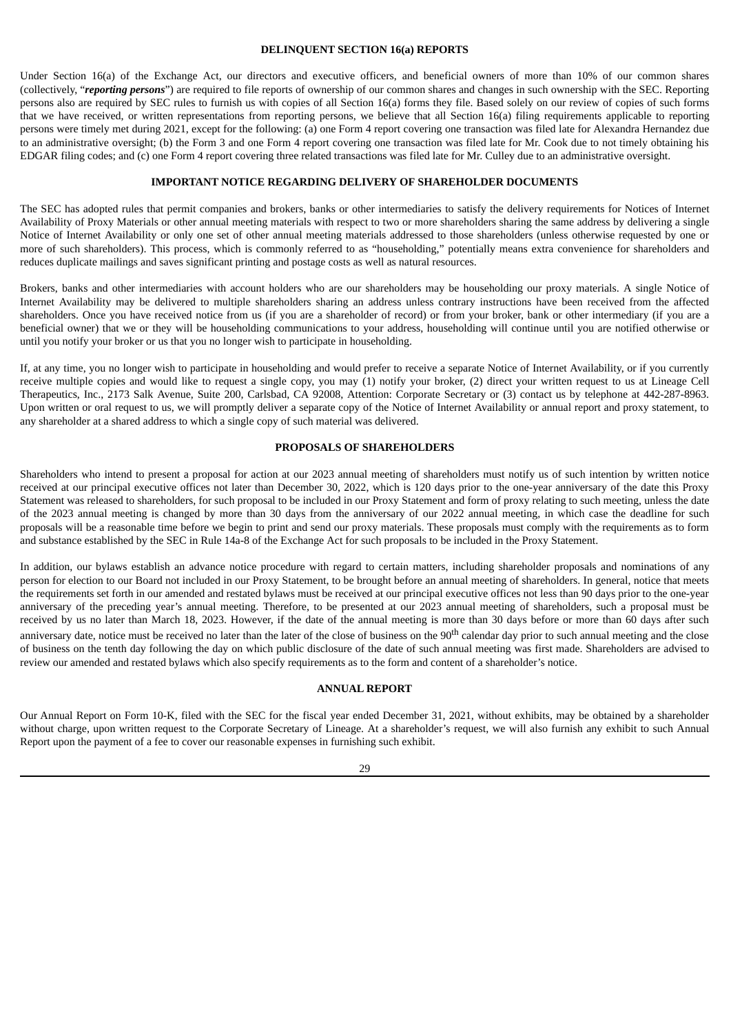#### **DELINQUENT SECTION 16(a) REPORTS**

Under Section 16(a) of the Exchange Act, our directors and executive officers, and beneficial owners of more than 10% of our common shares (collectively, "*reporting persons*") are required to file reports of ownership of our common shares and changes in such ownership with the SEC. Reporting persons also are required by SEC rules to furnish us with copies of all Section 16(a) forms they file. Based solely on our review of copies of such forms that we have received, or written representations from reporting persons, we believe that all Section 16(a) filing requirements applicable to reporting persons were timely met during 2021, except for the following: (a) one Form 4 report covering one transaction was filed late for Alexandra Hernandez due to an administrative oversight; (b) the Form 3 and one Form 4 report covering one transaction was filed late for Mr. Cook due to not timely obtaining his EDGAR filing codes; and (c) one Form 4 report covering three related transactions was filed late for Mr. Culley due to an administrative oversight.

#### **IMPORTANT NOTICE REGARDING DELIVERY OF SHAREHOLDER DOCUMENTS**

The SEC has adopted rules that permit companies and brokers, banks or other intermediaries to satisfy the delivery requirements for Notices of Internet Availability of Proxy Materials or other annual meeting materials with respect to two or more shareholders sharing the same address by delivering a single Notice of Internet Availability or only one set of other annual meeting materials addressed to those shareholders (unless otherwise requested by one or more of such shareholders). This process, which is commonly referred to as "householding," potentially means extra convenience for shareholders and reduces duplicate mailings and saves significant printing and postage costs as well as natural resources.

Brokers, banks and other intermediaries with account holders who are our shareholders may be householding our proxy materials. A single Notice of Internet Availability may be delivered to multiple shareholders sharing an address unless contrary instructions have been received from the affected shareholders. Once you have received notice from us (if you are a shareholder of record) or from your broker, bank or other intermediary (if you are a beneficial owner) that we or they will be householding communications to your address, householding will continue until you are notified otherwise or until you notify your broker or us that you no longer wish to participate in householding.

If, at any time, you no longer wish to participate in householding and would prefer to receive a separate Notice of Internet Availability, or if you currently receive multiple copies and would like to request a single copy, you may (1) notify your broker, (2) direct your written request to us at Lineage Cell Therapeutics, Inc., 2173 Salk Avenue, Suite 200, Carlsbad, CA 92008, Attention: Corporate Secretary or (3) contact us by telephone at 442-287-8963. Upon written or oral request to us, we will promptly deliver a separate copy of the Notice of Internet Availability or annual report and proxy statement, to any shareholder at a shared address to which a single copy of such material was delivered.

#### **PROPOSALS OF SHAREHOLDERS**

Shareholders who intend to present a proposal for action at our 2023 annual meeting of shareholders must notify us of such intention by written notice received at our principal executive offices not later than December 30, 2022, which is 120 days prior to the one-year anniversary of the date this Proxy Statement was released to shareholders, for such proposal to be included in our Proxy Statement and form of proxy relating to such meeting, unless the date of the 2023 annual meeting is changed by more than 30 days from the anniversary of our 2022 annual meeting, in which case the deadline for such proposals will be a reasonable time before we begin to print and send our proxy materials. These proposals must comply with the requirements as to form and substance established by the SEC in Rule 14a-8 of the Exchange Act for such proposals to be included in the Proxy Statement.

In addition, our bylaws establish an advance notice procedure with regard to certain matters, including shareholder proposals and nominations of any person for election to our Board not included in our Proxy Statement, to be brought before an annual meeting of shareholders. In general, notice that meets the requirements set forth in our amended and restated bylaws must be received at our principal executive offices not less than 90 days prior to the one-year anniversary of the preceding year's annual meeting. Therefore, to be presented at our 2023 annual meeting of shareholders, such a proposal must be received by us no later than March 18, 2023. However, if the date of the annual meeting is more than 30 days before or more than 60 days after such

anniversary date, notice must be received no later than the later of the close of business on the 90<sup>th</sup> calendar day prior to such annual meeting and the close of business on the tenth day following the day on which public disclosure of the date of such annual meeting was first made. Shareholders are advised to review our amended and restated bylaws which also specify requirements as to the form and content of a shareholder's notice.

#### **ANNUAL REPORT**

Our Annual Report on Form 10-K, filed with the SEC for the fiscal year ended December 31, 2021, without exhibits, may be obtained by a shareholder without charge, upon written request to the Corporate Secretary of Lineage. At a shareholder's request, we will also furnish any exhibit to such Annual Report upon the payment of a fee to cover our reasonable expenses in furnishing such exhibit.

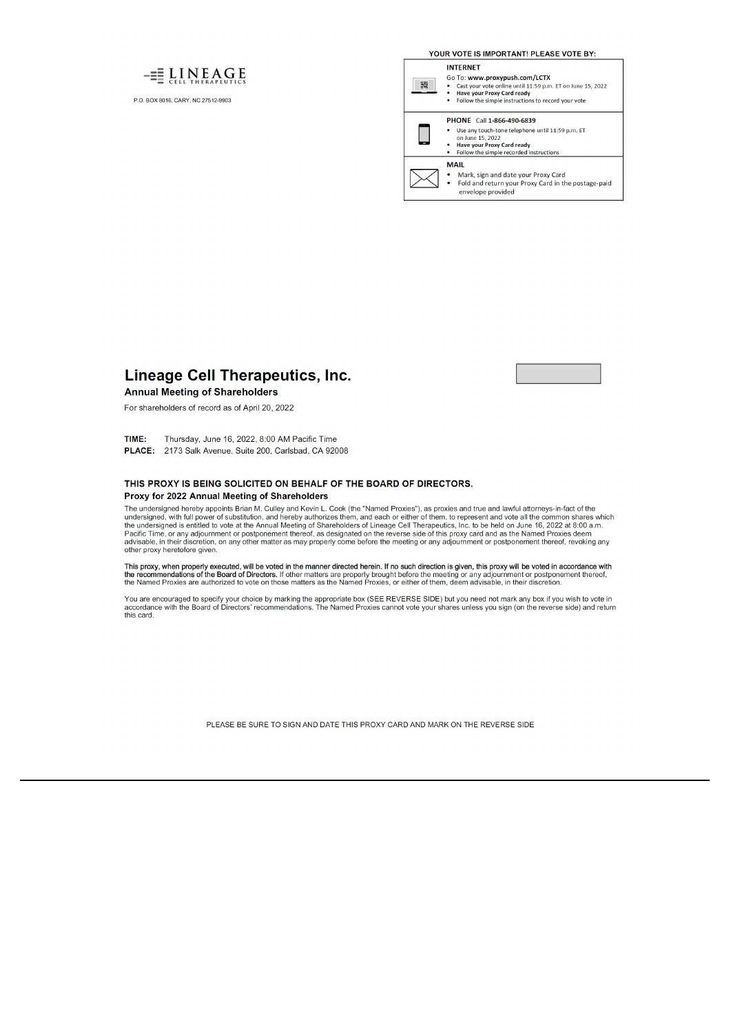

P.O. BOX 8016, CARY, NC 27512-9903

YOUR VOTE IS IMPORTANT! PLEASE VOTE BY:

#### **INTERNET**

霧

- Go To: www.proxypush.com/LCTX
- To: www.proxypusn.com/<br>Cast your vote online until 11:59 p.m. ET on June 15, 2022<br>Have your Proxy Card ready<br>Follow the simple instructions to record your vote
- ÷

#### PHONE Call 1-866-490-6839

- Use any touch-tone telephone until 11:59 p.m. ET<br>on June 15, 2022<br>• Have your Proxy Card ready
- Follow the simple recorded instructions

## **MAIL**

 $\bullet$ 

Mark, sign and date your Proxy Card<br>Fold and return your Proxy Card in the postage-paid envelope provided

**Lineage Cell Therapeutics, Inc.** 

## **Annual Meeting of Shareholders**

For shareholders of record as of April 20, 2022

Thursday, June 16, 2022, 8:00 AM Pacific Time TIME: PLACE: 2173 Salk Avenue, Suite 200, Carlsbad, CA 92008

#### THIS PROXY IS BEING SOLICITED ON BEHALF OF THE BOARD OF DIRECTORS. Proxy for 2022 Annual Meeting of Shareholders

The undersigned hereby appoints Brian M. Culley and Kevin L. Cook (the "Named Proxies"), as proxies and true and lawful attorneys-in-fact of the<br>undersigned hereby appoints Brian M. Culley and Kevin L. Cook (the "Named Pro other proxy heretofore given.

This proxy, when properly executed, will be voted in the manner directed herein. If no such direction is given, this proxy will be voted in accordance with<br>the recommendations of the Board of Directors. If other matters ar

You are encouraged to specify your choice by marking the appropriate box (SEE REVERSE SIDE) but you need not mark any box if you wish to vote in<br>accordance with the Board of Directors' recommendations. The Named Proxies ca

PLEASE BE SURE TO SIGN AND DATE THIS PROXY CARD AND MARK ON THE REVERSE SIDE